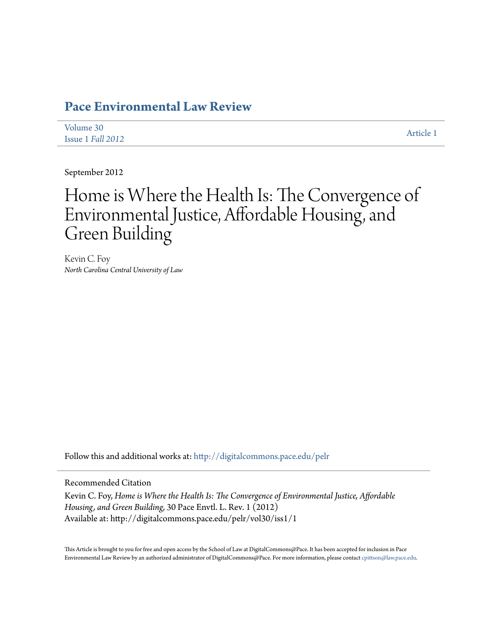# **[Pace Environmental Law Review](http://digitalcommons.pace.edu/pelr?utm_source=digitalcommons.pace.edu%2Fpelr%2Fvol30%2Fiss1%2F1&utm_medium=PDF&utm_campaign=PDFCoverPages)**

| Volume 30         | Article 1 |
|-------------------|-----------|
| Issue 1 Fall 2012 |           |

September 2012

# Home is Where the Health Is: The Convergence of Environmental Justice, Affordable Housing, and Green Building

Kevin C. Foy *North Carolina Central University of Law*

Follow this and additional works at: [http://digitalcommons.pace.edu/pelr](http://digitalcommons.pace.edu/pelr?utm_source=digitalcommons.pace.edu%2Fpelr%2Fvol30%2Fiss1%2F1&utm_medium=PDF&utm_campaign=PDFCoverPages)

Recommended Citation

Kevin C. Foy, *Home is Where the Health Is: The Convergence of Environmental Justice, Affordable Housing, and Green Building*, 30 Pace Envtl. L. Rev. 1 (2012) Available at: http://digitalcommons.pace.edu/pelr/vol30/iss1/1

This Article is brought to you for free and open access by the School of Law at DigitalCommons@Pace. It has been accepted for inclusion in Pace Environmental Law Review by an authorized administrator of DigitalCommons@Pace. For more information, please contact [cpittson@law.pace.edu](mailto:cpittson@law.pace.edu).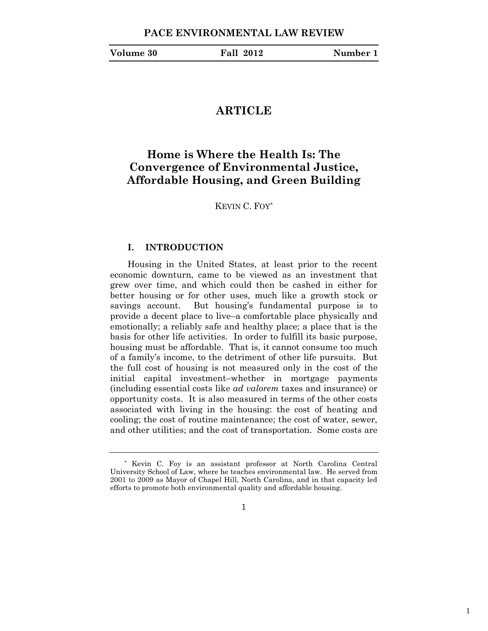| Volume 30 |  |
|-----------|--|
|-----------|--|

# **ARTICLE**

# **Home is Where the Health Is: The Convergence of Environmental Justice, Affordable Housing, and Green Building**

KEVIN C. FOY\*

# **I. INTRODUCTION**

Housing in the United States, at least prior to the recent economic downturn, came to be viewed as an investment that grew over time, and which could then be cashed in either for better housing or for other uses, much like a growth stock or savings account. But housing's fundamental purpose is to provide a decent place to live–a comfortable place physically and emotionally; a reliably safe and healthy place; a place that is the basis for other life activities. In order to fulfill its basic purpose, housing must be affordable. That is, it cannot consume too much of a family's income, to the detriment of other life pursuits. But the full cost of housing is not measured only in the cost of the initial capital investment–whether in mortgage payments (including essential costs like *ad valorem* taxes and insurance) or opportunity costs. It is also measured in terms of the other costs associated with living in the housing: the cost of heating and cooling; the cost of routine maintenance; the cost of water, sewer, and other utilities; and the cost of transportation. Some costs are

1

<sup>\*</sup> Kevin C. Foy is an assistant professor at North Carolina Central University School of Law, where he teaches environmental law. He served from 2001 to 2009 as Mayor of Chapel Hill, North Carolina, and in that capacity led efforts to promote both environmental quality and affordable housing.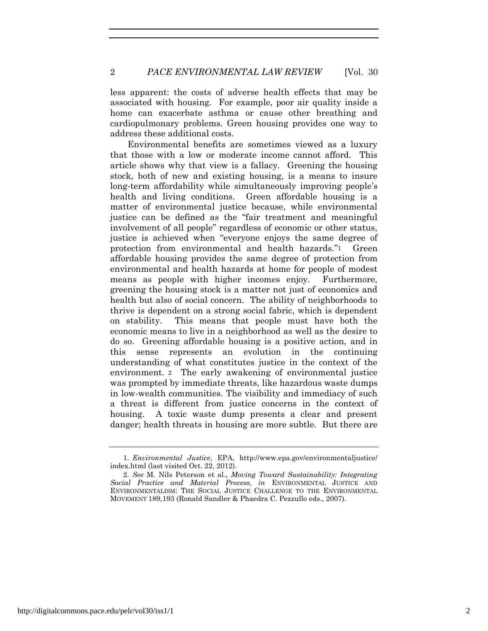less apparent: the costs of adverse health effects that may be associated with housing. For example, poor air quality inside a home can exacerbate asthma or cause other breathing and cardiopulmonary problems. Green housing provides one way to address these additional costs.

Environmental benefits are sometimes viewed as a luxury that those with a low or moderate income cannot afford. This article shows why that view is a fallacy. Greening the housing stock, both of new and existing housing, is a means to insure long-term affordability while simultaneously improving people's health and living conditions. Green affordable housing is a matter of environmental justice because, while environmental justice can be defined as the "fair treatment and meaningful involvement of all people" regardless of economic or other status, justice is achieved when "everyone enjoys the same degree of protection from environmental and health hazards."1 Green affordable housing provides the same degree of protection from environmental and health hazards at home for people of modest means as people with higher incomes enjoy. Furthermore, greening the housing stock is a matter not just of economics and health but also of social concern. The ability of neighborhoods to thrive is dependent on a strong social fabric, which is dependent on stability. This means that people must have both the economic means to live in a neighborhood as well as the desire to do so. Greening affordable housing is a positive action, and in this sense represents an evolution in the continuing understanding of what constitutes justice in the context of the environment. 2 The early awakening of environmental justice was prompted by immediate threats, like hazardous waste dumps in low-wealth communities. The visibility and immediacy of such a threat is different from justice concerns in the context of housing. A toxic waste dump presents a clear and present danger; health threats in housing are more subtle. But there are

<sup>1</sup>*. Environmental Justice*, EPA, http://www.epa.gov/environmentaljustice/ index.html (last visited Oct. 22, 2012).

<sup>2</sup>*. See* M. Nils Peterson et al., *Moving Toward Sustainability: Integrating Social Practice and Material Process*, *in* ENVIRONMENTAL JUSTICE AND ENVIRONMENTALISM: THE SOCIAL JUSTICE CHALLENGE TO THE ENVIRONMENTAL MOVEMENT 189,193 (Ronald Sandler & Phaedra C. Pezzullo eds., 2007).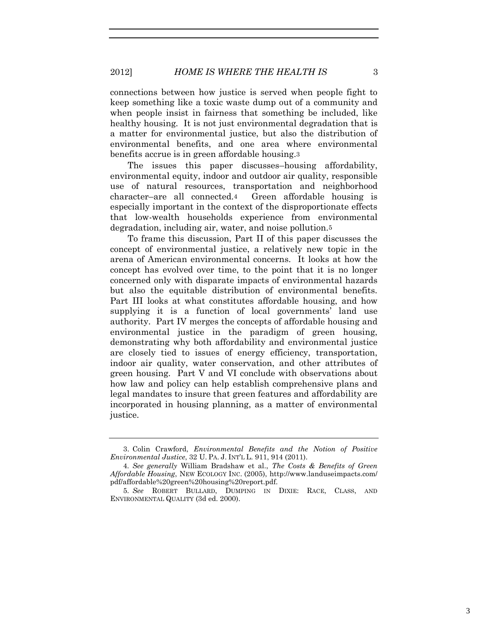connections between how justice is served when people fight to keep something like a toxic waste dump out of a community and when people insist in fairness that something be included, like healthy housing. It is not just environmental degradation that is a matter for environmental justice, but also the distribution of environmental benefits, and one area where environmental benefits accrue is in green affordable housing.3

The issues this paper discusses–housing affordability, environmental equity, indoor and outdoor air quality, responsible use of natural resources, transportation and neighborhood character–are all connected.4 Green affordable housing is especially important in the context of the disproportionate effects that low-wealth households experience from environmental degradation, including air, water, and noise pollution.5

To frame this discussion, Part II of this paper discusses the concept of environmental justice, a relatively new topic in the arena of American environmental concerns. It looks at how the concept has evolved over time, to the point that it is no longer concerned only with disparate impacts of environmental hazards but also the equitable distribution of environmental benefits. Part III looks at what constitutes affordable housing, and how supplying it is a function of local governments' land use authority. Part IV merges the concepts of affordable housing and environmental justice in the paradigm of green housing, demonstrating why both affordability and environmental justice are closely tied to issues of energy efficiency, transportation, indoor air quality, water conservation, and other attributes of green housing. Part V and VI conclude with observations about how law and policy can help establish comprehensive plans and legal mandates to insure that green features and affordability are incorporated in housing planning, as a matter of environmental justice.

<sup>3.</sup> Colin Crawford, *Environmental Benefits and the Notion of Positive Environmental Justice*, 32 U. PA. J. INT'L L. 911, 914 (2011).

<sup>4</sup>*. See generally* William Bradshaw et al., *The Costs & Benefits of Green Affordable Housing*, NEW ECOLOGY INC. (2005), http://www.landuseimpacts.com/ pdf/affordable%20green%20housing%20report.pdf.

<sup>5</sup>*. See* ROBERT BULLARD, DUMPING IN DIXIE: RACE, CLASS, AND ENVIRONMENTAL QUALITY (3d ed. 2000).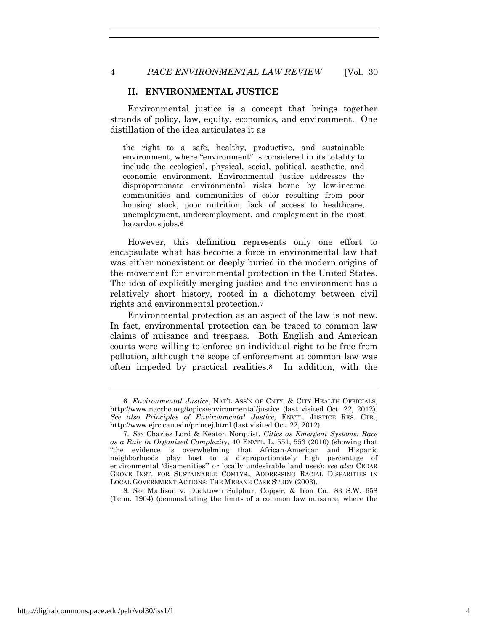## **II. ENVIRONMENTAL JUSTICE**

Environmental justice is a concept that brings together strands of policy, law, equity, economics, and environment. One distillation of the idea articulates it as

the right to a safe, healthy, productive, and sustainable environment, where "environment" is considered in its totality to include the ecological, physical, social, political, aesthetic, and economic environment. Environmental justice addresses the disproportionate environmental risks borne by low-income communities and communities of color resulting from poor housing stock, poor nutrition, lack of access to healthcare, unemployment, underemployment, and employment in the most hazardous jobs.6

However, this definition represents only one effort to encapsulate what has become a force in environmental law that was either nonexistent or deeply buried in the modern origins of the movement for environmental protection in the United States. The idea of explicitly merging justice and the environment has a relatively short history, rooted in a dichotomy between civil rights and environmental protection.7

Environmental protection as an aspect of the law is not new. In fact, environmental protection can be traced to common law claims of nuisance and trespass. Both English and American courts were willing to enforce an individual right to be free from pollution, although the scope of enforcement at common law was often impeded by practical realities.8 In addition, with the

<sup>6</sup>*. Environmental Justice*, NAT'L ASS'N OF CNTY. & CITY HEALTH OFFICIALS, http://www.naccho.org/topics/environmental/justice (last visited Oct. 22, 2012). *See also Principles of Environmental Justice*, ENVTL. JUSTICE RES. CTR., http://www.ejrc.cau.edu/princej.html (last visited Oct. 22, 2012).

<sup>7</sup>*. See* Charles Lord & Keaton Norquist, *Cities as Emergent Systems: Race as a Rule in Organized Complexity*, 40 ENVTL. L. 551, 553 (2010) (showing that "the evidence is overwhelming that African-American and Hispanic neighborhoods play host to a disproportionately high percentage of environmental 'disamenities'" or locally undesirable land uses); *see also* CEDAR GROVE INST. FOR SUSTAINABLE COMTYS., ADDRESSING RACIAL DISPARITIES IN LOCAL GOVERNMENT ACTIONS: THE MEBANE CASE STUDY (2003).

<sup>8</sup>*. See* Madison v. Ducktown Sulphur, Copper, & Iron Co., 83 S.W. 658 (Tenn. 1904) (demonstrating the limits of a common law nuisance, where the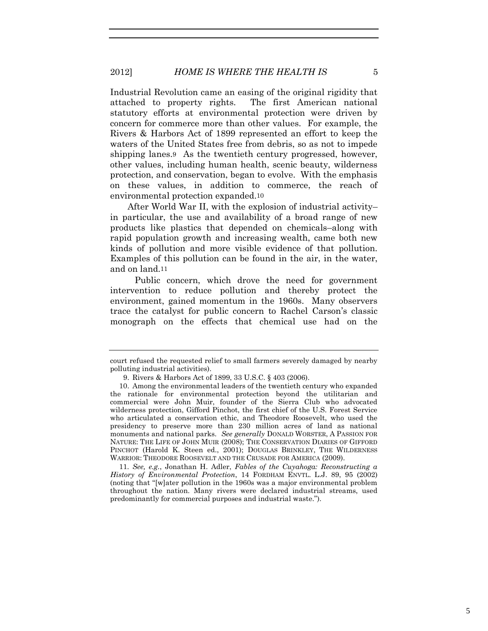Industrial Revolution came an easing of the original rigidity that attached to property rights. The first American national statutory efforts at environmental protection were driven by concern for commerce more than other values. For example, the Rivers & Harbors Act of 1899 represented an effort to keep the waters of the United States free from debris, so as not to impede shipping lanes.9 As the twentieth century progressed, however, other values, including human health, scenic beauty, wilderness protection, and conservation, began to evolve. With the emphasis on these values, in addition to commerce, the reach of environmental protection expanded.10

After World War II, with the explosion of industrial activity– in particular, the use and availability of a broad range of new products like plastics that depended on chemicals–along with rapid population growth and increasing wealth, came both new kinds of pollution and more visible evidence of that pollution. Examples of this pollution can be found in the air, in the water, and on land.11

Public concern, which drove the need for government intervention to reduce pollution and thereby protect the environment, gained momentum in the 1960s. Many observers trace the catalyst for public concern to Rachel Carson's classic monograph on the effects that chemical use had on the

11*. See, e.g.*, Jonathan H. Adler, *Fables of the Cuyahoga: Reconstructing a History of Environmental Protection*, 14 FORDHAM ENVTL. L.J. 89, 95 (2002) (noting that "[w]ater pollution in the 1960s was a major environmental problem throughout the nation. Many rivers were declared industrial streams, used predominantly for commercial purposes and industrial waste.").

court refused the requested relief to small farmers severely damaged by nearby polluting industrial activities).

<sup>9.</sup> Rivers & Harbors Act of 1899, 33 U.S.C. § 403 (2006).

<sup>10.</sup> Among the environmental leaders of the twentieth century who expanded the rationale for environmental protection beyond the utilitarian and commercial were John Muir, founder of the Sierra Club who advocated wilderness protection, Gifford Pinchot, the first chief of the U.S. Forest Service who articulated a conservation ethic, and Theodore Roosevelt, who used the presidency to preserve more than 230 million acres of land as national monuments and national parks. *See generally* DONALD WORSTER, A PASSION FOR NATURE: THE LIFE OF JOHN MUIR (2008); THE CONSERVATION DIARIES OF GIFFORD PINCHOT (Harold K. Steen ed., 2001); DOUGLAS BRINKLEY, THE WILDERNESS WARRIOR: THEODORE ROOSEVELT AND THE CRUSADE FOR AMERICA (2009).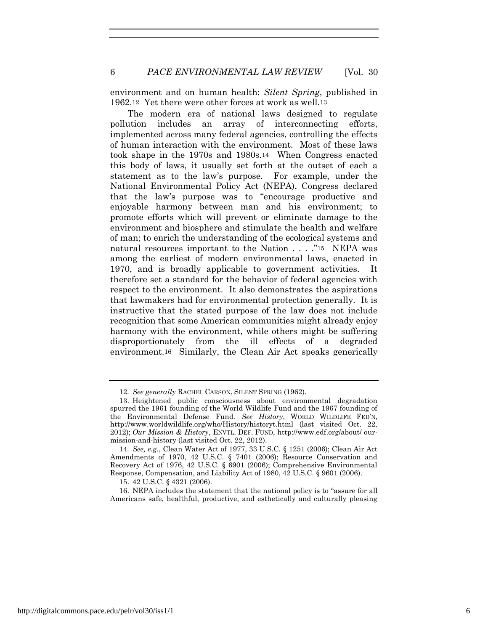environment and on human health: *Silent Spring*, published in 1962.12 Yet there were other forces at work as well.13

The modern era of national laws designed to regulate pollution includes an array of interconnecting efforts, implemented across many federal agencies, controlling the effects of human interaction with the environment. Most of these laws took shape in the 1970s and 1980s.14 When Congress enacted this body of laws, it usually set forth at the outset of each a statement as to the law's purpose. For example, under the National Environmental Policy Act (NEPA), Congress declared that the law's purpose was to "encourage productive and enjoyable harmony between man and his environment; to promote efforts which will prevent or eliminate damage to the environment and biosphere and stimulate the health and welfare of man; to enrich the understanding of the ecological systems and natural resources important to the Nation . . . ."15 NEPA was among the earliest of modern environmental laws, enacted in 1970, and is broadly applicable to government activities. It therefore set a standard for the behavior of federal agencies with respect to the environment. It also demonstrates the aspirations that lawmakers had for environmental protection generally. It is instructive that the stated purpose of the law does not include recognition that some American communities might already enjoy harmony with the environment, while others might be suffering disproportionately from the ill effects of a degraded environment.16 Similarly, the Clean Air Act speaks generically

<sup>12</sup>*. See generally* RACHEL CARSON, SILENT SPRING (1962).

<sup>13.</sup> Heightened public consciousness about environmental degradation spurred the 1961 founding of the World Wildlife Fund and the 1967 founding of the Environmental Defense Fund. *See History*, WORLD WILDLIFE FED'N, http://www.worldwildlife.org/who/History/historyt.html (last visited Oct. 22, 2012); *Our Mission & History*, ENVTL. DEF. FUND, http://www.edf.org/about/ ourmission-and-history (last visited Oct. 22, 2012).

<sup>14</sup>*. See, e.g.*, Clean Water Act of 1977, 33 U.S.C. § 1251 (2006); Clean Air Act Amendments of 1970, 42 U.S.C. § 7401 (2006); Resource Conservation and Recovery Act of 1976, 42 U.S.C. § 6901 (2006); Comprehensive Environmental Response, Compensation, and Liability Act of 1980, 42 U.S.C. § 9601 (2006).

<sup>15.</sup> 42 U.S.C. § 4321 (2006).

<sup>16.</sup> NEPA includes the statement that the national policy is to "assure for all Americans safe, healthful, productive, and esthetically and culturally pleasing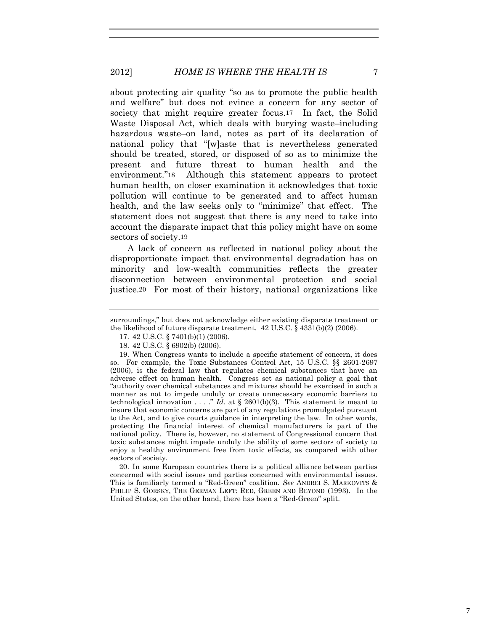# 2012] *HOME IS WHERE THE HEALTH IS* 7

about protecting air quality "so as to promote the public health and welfare" but does not evince a concern for any sector of society that might require greater focus.<sup>17</sup> In fact, the Solid Waste Disposal Act, which deals with burying waste–including hazardous waste–on land, notes as part of its declaration of national policy that "[w]aste that is nevertheless generated should be treated, stored, or disposed of so as to minimize the present and future threat to human health and the environment."18 Although this statement appears to protect human health, on closer examination it acknowledges that toxic pollution will continue to be generated and to affect human health, and the law seeks only to "minimize" that effect. The statement does not suggest that there is any need to take into account the disparate impact that this policy might have on some sectors of society.19

A lack of concern as reflected in national policy about the disproportionate impact that environmental degradation has on minority and low-wealth communities reflects the greater disconnection between environmental protection and social justice.20 For most of their history, national organizations like

20. In some European countries there is a political alliance between parties concerned with social issues and parties concerned with environmental issues. This is familiarly termed a "Red-Green" coalition. *See* ANDREI S. MARKOVITS & PHILIP S. GORSKY, THE GERMAN LEFT: RED, GREEN AND BEYOND (1993). In the United States, on the other hand, there has been a "Red-Green" split.

7

surroundings," but does not acknowledge either existing disparate treatment or the likelihood of future disparate treatment. 42 U.S.C. § 4331(b)(2) (2006).

<sup>17.</sup> 42 U.S.C. § 7401(b)(1) (2006).

<sup>18.</sup> 42 U.S.C. § 6902(b) (2006).

<sup>19.</sup> When Congress wants to include a specific statement of concern, it does so. For example, the Toxic Substances Control Act, 15 U.S.C. §§ 2601-2697 (2006), is the federal law that regulates chemical substances that have an adverse effect on human health. Congress set as national policy a goal that "authority over chemical substances and mixtures should be exercised in such a manner as not to impede unduly or create unnecessary economic barriers to technological innovation . . . ." *Id.* at § 2601(b)(3). This statement is meant to insure that economic concerns are part of any regulations promulgated pursuant to the Act, and to give courts guidance in interpreting the law. In other words, protecting the financial interest of chemical manufacturers is part of the national policy. There is, however, no statement of Congressional concern that toxic substances might impede unduly the ability of some sectors of society to enjoy a healthy environment free from toxic effects, as compared with other sectors of society.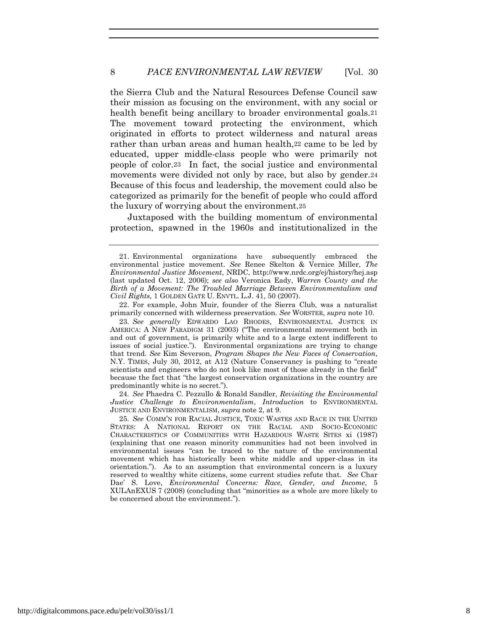the Sierra Club and the Natural Resources Defense Council saw their mission as focusing on the environment, with any social or health benefit being ancillary to broader environmental goals.<sup>21</sup> The movement toward protecting the environment, which originated in efforts to protect wilderness and natural areas rather than urban areas and human health, 22 came to be led by educated, upper middle-class people who were primarily not people of color.23 In fact, the social justice and environmental movements were divided not only by race, but also by gender.24 Because of this focus and leadership, the movement could also be categorized as primarily for the benefit of people who could afford the luxury of worrying about the environment.25

Juxtaposed with the building momentum of environmental protection, spawned in the 1960s and institutionalized in the

22. For example, John Muir, founder of the Sierra Club, was a naturalist primarily concerned with wilderness preservation. *See* WORSTER, *supra* note 10.

23*. See generally* EDWARDO LAO RHODES, ENVIRONMENTAL JUSTICE IN AMERICA: A NEW PARADIGM 31 (2003) ("The environmental movement both in and out of government, is primarily white and to a large extent indifferent to issues of social justice."). Environmental organizations are trying to change that trend. *See* Kim Severson, *Program Shapes the New Faces of Conservation*, N.Y. TIMES, July 30, 2012, at A12 (Nature Conservancy is pushing to "create scientists and engineers who do not look like most of those already in the field" because the fact that "the largest conservation organizations in the country are predominantly white is no secret.").

24*. See* Phaedra C. Pezzullo & Ronald Sandler, *Revisiting the Environmental Justice Challenge to Environmentalism*, *Introduction* to ENVIRONMENTAL JUSTICE AND ENVIRONMENTALISM, *supra* note 2, at 9.

25*. See* COMM'N FOR RACIAL JUSTICE, TOXIC WASTES AND RACE IN THE UNITED STATES: A NATIONAL REPORT ON THE RACIAL AND SOCIO-ECONOMIC CHARACTERISTICS OF COMMUNITIES WITH HAZARDOUS WASTE SITES xi (1987) (explaining that one reason minority communities had not been involved in environmental issues "can be traced to the nature of the environmental movement which has historically been white middle and upper-class in its orientation."). As to an assumption that environmental concern is a luxury reserved to wealthy white citizens, some current studies refute that. *See* Char Dae' S. Love, *Environmental Concerns: Race, Gender, and Income*, 5 XULAnEXUS 7 (2008) (concluding that "minorities as a whole are more likely to be concerned about the environment.").

<sup>21.</sup> Environmental organizations have subsequently embraced the environmental justice movement. *See* Renee Skelton & Vernice Miller, *The Environmental Justice Movement*, NRDC, http://www.nrdc.org/ej/history/hej.asp (last updated Oct. 12, 2006); *see also* Veronica Eady, *Warren County and the Birth of a Movement: The Troubled Marriage Between Environmentalism and Civil Rights*, 1 GOLDEN GATE U. ENVTL. L.J. 41, 50 (2007).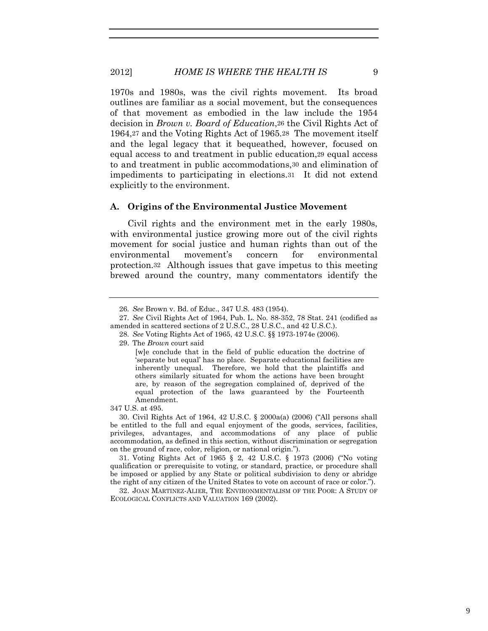#### 2012] *HOME IS WHERE THE HEALTH IS* 9

1970s and 1980s, was the civil rights movement. Its broad outlines are familiar as a social movement, but the consequences of that movement as embodied in the law include the 1954 decision in *Brown v. Board of Education*,26 the Civil Rights Act of 1964,27 and the Voting Rights Act of 1965.28 The movement itself and the legal legacy that it bequeathed, however, focused on equal access to and treatment in public education,29 equal access to and treatment in public accommodations,30 and elimination of impediments to participating in elections.31 It did not extend explicitly to the environment.

#### **A. Origins of the Environmental Justice Movement**

Civil rights and the environment met in the early 1980s, with environmental justice growing more out of the civil rights movement for social justice and human rights than out of the environmental movement's concern for environmental protection.32 Although issues that gave impetus to this meeting brewed around the country, many commentators identify the

29. The *Brown* court said

347 U.S. at 495.

30. Civil Rights Act of 1964, 42 U.S.C. § 2000a(a) (2006) ("All persons shall be entitled to the full and equal enjoyment of the goods, services, facilities, privileges, advantages, and accommodations of any place of public accommodation, as defined in this section, without discrimination or segregation on the ground of race, color, religion, or national origin.").

31. Voting Rights Act of 1965 § 2, 42 U.S.C. § 1973 (2006) ("No voting qualification or prerequisite to voting, or standard, practice, or procedure shall be imposed or applied by any State or political subdivision to deny or abridge the right of any citizen of the United States to vote on account of race or color.").

32. JOAN MARTINEZ-ALIER, THE ENVIRONMENTALISM OF THE POOR: A STUDY OF ECOLOGICAL CONFLICTS AND VALUATION 169 (2002).

<sup>26</sup>*. See* Brown v. Bd. of Educ., 347 U.S. 483 (1954).

<sup>27</sup>*. See* Civil Rights Act of 1964, Pub. L. No. 88-352, 78 Stat. 241 (codified as amended in scattered sections of 2 U.S.C., 28 U.S.C., and 42 U.S.C.).

<sup>28</sup>*. See* Voting Rights Act of 1965, 42 U.S.C. §§ 1973-1974e (2006)*.*

<sup>[</sup>w]e conclude that in the field of public education the doctrine of 'separate but equal' has no place. Separate educational facilities are inherently unequal. Therefore, we hold that the plaintiffs and others similarly situated for whom the actions have been brought are, by reason of the segregation complained of, deprived of the equal protection of the laws guaranteed by the Fourteenth Amendment.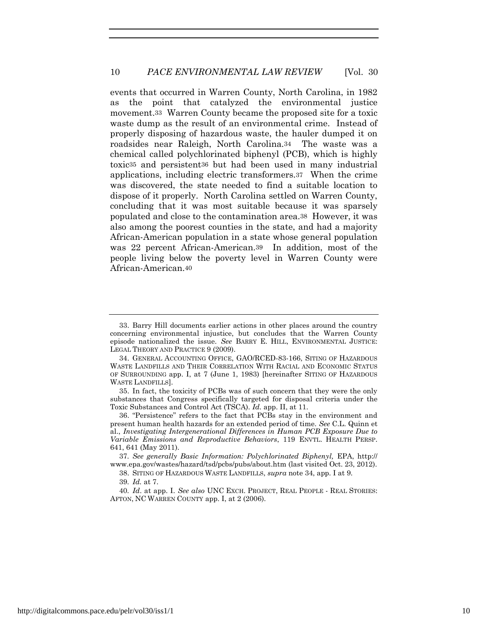events that occurred in Warren County, North Carolina, in 1982 as the point that catalyzed the environmental justice movement.33 Warren County became the proposed site for a toxic waste dump as the result of an environmental crime. Instead of properly disposing of hazardous waste, the hauler dumped it on roadsides near Raleigh, North Carolina.34 The waste was a chemical called polychlorinated biphenyl (PCB), which is highly toxic35 and persistent36 but had been used in many industrial applications, including electric transformers.37 When the crime was discovered, the state needed to find a suitable location to dispose of it properly. North Carolina settled on Warren County, concluding that it was most suitable because it was sparsely populated and close to the contamination area.38 However, it was also among the poorest counties in the state, and had a majority African-American population in a state whose general population was 22 percent African-American.39 In addition, most of the people living below the poverty level in Warren County were African-American.40

35. In fact, the toxicity of PCBs was of such concern that they were the only substances that Congress specifically targeted for disposal criteria under the Toxic Substances and Control Act (TSCA). *Id.* app. II, at 11.

38. SITING OF HAZARDOUS WASTE LANDFILLS, *supra* note 34, app. I at 9.

<sup>33.</sup> Barry Hill documents earlier actions in other places around the country concerning environmental injustice, but concludes that the Warren County episode nationalized the issue. *See* BARRY E. HILL, ENVIRONMENTAL JUSTICE: LEGAL THEORY AND PRACTICE 9 (2009).

<sup>34.</sup> GENERAL ACCOUNTING OFFICE, GAO/RCED-83-166, SITING OF HAZARDOUS WASTE LANDFILLS AND THEIR CORRELATION WITH RACIAL AND ECONOMIC STATUS OF SURROUNDING app. I, at 7 (June 1, 1983) [hereinafter SITING OF HAZARDOUS WASTE LANDFILLS].

<sup>36.</sup> "Persistence" refers to the fact that PCBs stay in the environment and present human health hazards for an extended period of time. *See* C.L. Quinn et al., *Investigating Intergenerational Differences in Human PCB Exposure Due to Variable Emissions and Reproductive Behaviors*, 119 ENVTL. HEALTH PERSP. 641, 641 (May 2011).

<sup>37</sup>*. See generally Basic Information: Polychlorinated Biphenyl,* EPA, http:// www.epa.gov/wastes/hazard/tsd/pcbs/pubs/about.htm (last visited Oct. 23, 2012).

<sup>39</sup>*. Id.* at 7.

<sup>40</sup>*. Id*. at app. I. *See also* UNC EXCH. PROJECT, REAL PEOPLE - REAL STORIES: AFTON, NC WARREN COUNTY app. I, at 2 (2006).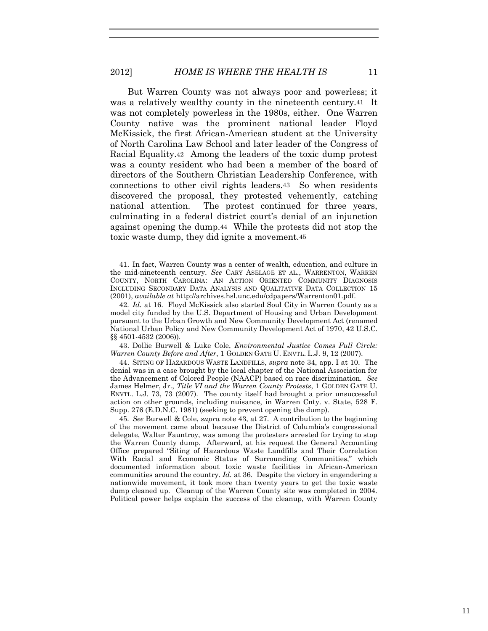But Warren County was not always poor and powerless; it was a relatively wealthy county in the nineteenth century.41 It was not completely powerless in the 1980s, either. One Warren County native was the prominent national leader Floyd McKissick, the first African-American student at the University of North Carolina Law School and later leader of the Congress of Racial Equality.42 Among the leaders of the toxic dump protest was a county resident who had been a member of the board of directors of the Southern Christian Leadership Conference, with connections to other civil rights leaders.43 So when residents discovered the proposal, they protested vehemently, catching national attention. The protest continued for three years, culminating in a federal district court's denial of an injunction against opening the dump.44 While the protests did not stop the toxic waste dump, they did ignite a movement.45

43. Dollie Burwell & Luke Cole, *Environmental Justice Comes Full Circle: Warren County Before and After*, 1 GOLDEN GATE U. ENVTL. L.J. 9, 12 (2007).

44. SITING OF HAZARDOUS WASTE LANDFILLS, *supra* note 34, app. I at 10. The denial was in a case brought by the local chapter of the National Association for the Advancement of Colored People (NAACP) based on race discrimination. *See*  James Helmer, Jr., *Title VI and the Warren County Protests*, 1 GOLDEN GATE U. ENVTL. L.J. 73, 73 (2007). The county itself had brought a prior unsuccessful action on other grounds, including nuisance, in Warren Cnty. v. State, 528 F. Supp. 276 (E.D.N.C. 1981) (seeking to prevent opening the dump).

45*. See* Burwell & Cole, *supra* note 43, at 27. A contribution to the beginning of the movement came about because the District of Columbia's congressional delegate, Walter Fauntroy, was among the protesters arrested for trying to stop the Warren County dump. Afterward, at his request the General Accounting Office prepared "Siting of Hazardous Waste Landfills and Their Correlation With Racial and Economic Status of Surrounding Communities," which documented information about toxic waste facilities in African-American communities around the country. *Id.* at 36. Despite the victory in engendering a nationwide movement, it took more than twenty years to get the toxic waste dump cleaned up. Cleanup of the Warren County site was completed in 2004. Political power helps explain the success of the cleanup, with Warren County

<sup>41.</sup> In fact, Warren County was a center of wealth, education, and culture in the mid-nineteenth century. *See* CARY ASELAGE ET AL., WARRENTON, WARREN COUNTY, NORTH CAROLINA: AN ACTION ORIENTED COMMUNITY DIAGNOSIS INCLUDING SECONDARY DATA ANALYSIS AND QUALITATIVE DATA COLLECTION 15 (2001), *available at* http://archives.hsl.unc.edu/cdpapers/Warrenton01.pdf.

<sup>42</sup>*. Id.* at 16. Floyd McKissick also started Soul City in Warren County as a model city funded by the U.S. Department of Housing and Urban Development pursuant to the Urban Growth and New Community Development Act (renamed National Urban Policy and New Community Development Act of 1970, 42 U.S.C. §§ 4501-4532 (2006)).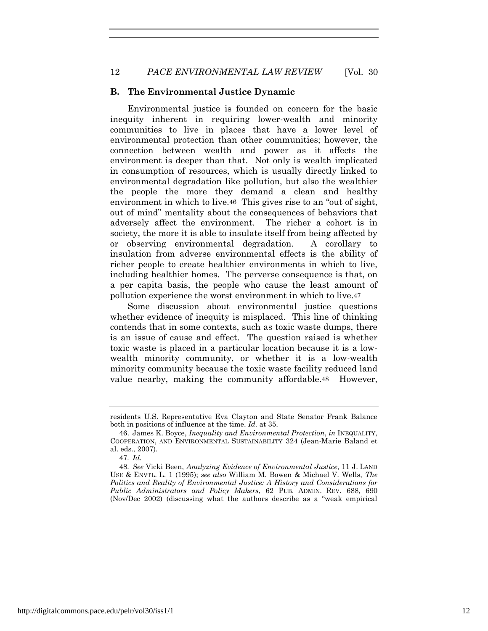#### **B. The Environmental Justice Dynamic**

Environmental justice is founded on concern for the basic inequity inherent in requiring lower-wealth and minority communities to live in places that have a lower level of environmental protection than other communities; however, the connection between wealth and power as it affects the environment is deeper than that. Not only is wealth implicated in consumption of resources, which is usually directly linked to environmental degradation like pollution, but also the wealthier the people the more they demand a clean and healthy environment in which to live.46 This gives rise to an "out of sight, out of mind" mentality about the consequences of behaviors that adversely affect the environment. The richer a cohort is in society, the more it is able to insulate itself from being affected by or observing environmental degradation. A corollary to insulation from adverse environmental effects is the ability of richer people to create healthier environments in which to live, including healthier homes. The perverse consequence is that, on a per capita basis, the people who cause the least amount of pollution experience the worst environment in which to live.47

Some discussion about environmental justice questions whether evidence of inequity is misplaced. This line of thinking contends that in some contexts, such as toxic waste dumps, there is an issue of cause and effect. The question raised is whether toxic waste is placed in a particular location because it is a lowwealth minority community, or whether it is a low-wealth minority community because the toxic waste facility reduced land value nearby, making the community affordable.48 However,

residents U.S. Representative Eva Clayton and State Senator Frank Balance both in positions of influence at the time. *Id.* at 35.

<sup>46.</sup> James K. Boyce, *Inequality and Environmental Protection*, *in* INEQUALITY, COOPERATION, AND ENVIRONMENTAL SUSTAINABILITY 324 (Jean-Marie Baland et al. eds., 2007).

<sup>47</sup>*. Id.*

<sup>48</sup>*. See* Vicki Been, *Analyzing Evidence of Environmental Justice*, 11 J. LAND USE & ENVTL. L. 1 (1995); *see also* William M. Bowen & Michael V. Wells, *The Politics and Reality of Environmental Justice: A History and Considerations for Public Administrators and Policy Makers*, 62 PUB. ADMIN. REV. 688, 690 (Nov/Dec 2002) (discussing what the authors describe as a "weak empirical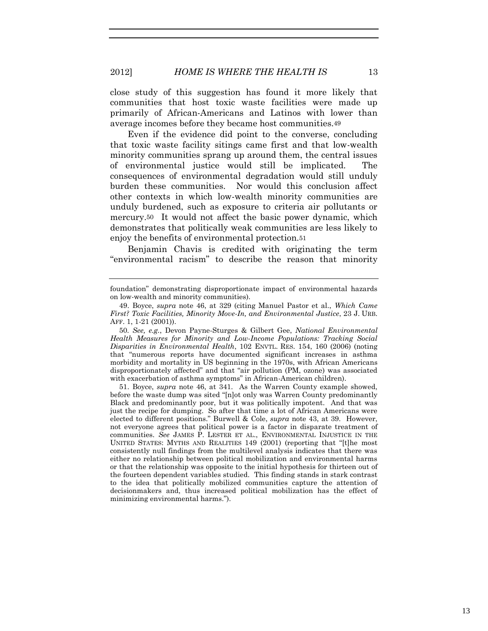close study of this suggestion has found it more likely that communities that host toxic waste facilities were made up primarily of African-Americans and Latinos with lower than average incomes before they became host communities.49

Even if the evidence did point to the converse, concluding that toxic waste facility sitings came first and that low-wealth minority communities sprang up around them, the central issues of environmental justice would still be implicated. The consequences of environmental degradation would still unduly burden these communities. Nor would this conclusion affect other contexts in which low-wealth minority communities are unduly burdened, such as exposure to criteria air pollutants or mercury.50 It would not affect the basic power dynamic, which demonstrates that politically weak communities are less likely to enjoy the benefits of environmental protection.51

Benjamin Chavis is credited with originating the term "environmental racism" to describe the reason that minority

50*. See, e.g.*, Devon Payne-Sturges & Gilbert Gee, *National Environmental Health Measures for Minority and Low-Income Populations: Tracking Social Disparities in Environmental Health*, 102 ENVTL. RES. 154, 160 (2006) (noting that "numerous reports have documented significant increases in asthma morbidity and mortality in US beginning in the 1970s, with African Americans disproportionately affected" and that "air pollution (PM, ozone) was associated with exacerbation of asthma symptoms" in African-American children).

51. Boyce, *supra* note 46, at 341. As the Warren County example showed, before the waste dump was sited "[n]ot only was Warren County predominantly Black and predominantly poor, but it was politically impotent. And that was just the recipe for dumping. So after that time a lot of African Americans were elected to different positions." Burwell & Cole, *supra* note 43, at 39. However, not everyone agrees that political power is a factor in disparate treatment of communities. *See* JAMES P. LESTER ET AL., ENVIRONMENTAL INJUSTICE IN THE UNITED STATES: MYTHS AND REALITIES 149 (2001) (reporting that "[t]he most consistently null findings from the multilevel analysis indicates that there was either no relationship between political mobilization and environmental harms or that the relationship was opposite to the initial hypothesis for thirteen out of the fourteen dependent variables studied. This finding stands in stark contrast to the idea that politically mobilized communities capture the attention of decisionmakers and, thus increased political mobilization has the effect of minimizing environmental harms.").

foundation" demonstrating disproportionate impact of environmental hazards on low-wealth and minority communities).

<sup>49.</sup> Boyce, *supra* note 46, at 329 (citing Manuel Pastor et al., *Which Came First? Toxic Facilities, Minority Move-In, and Environmental Justice*, 23 J. URB. AFF. 1, 1-21 (2001)).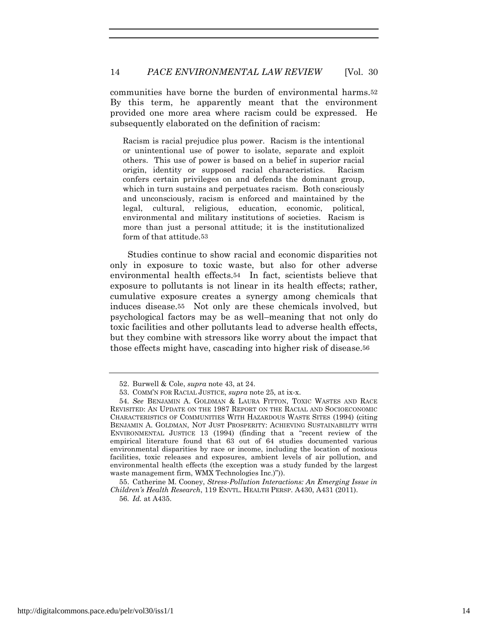communities have borne the burden of environmental harms.52 By this term, he apparently meant that the environment provided one more area where racism could be expressed. He subsequently elaborated on the definition of racism:

Racism is racial prejudice plus power. Racism is the intentional or unintentional use of power to isolate, separate and exploit others. This use of power is based on a belief in superior racial origin, identity or supposed racial characteristics. Racism confers certain privileges on and defends the dominant group, which in turn sustains and perpetuates racism. Both consciously and unconsciously, racism is enforced and maintained by the legal, cultural, religious, education, economic, political, environmental and military institutions of societies. Racism is more than just a personal attitude; it is the institutionalized form of that attitude.53

Studies continue to show racial and economic disparities not only in exposure to toxic waste, but also for other adverse environmental health effects.54 In fact, scientists believe that exposure to pollutants is not linear in its health effects; rather, cumulative exposure creates a synergy among chemicals that induces disease.55 Not only are these chemicals involved, but psychological factors may be as well–meaning that not only do toxic facilities and other pollutants lead to adverse health effects, but they combine with stressors like worry about the impact that those effects might have, cascading into higher risk of disease.56

<sup>52.</sup> Burwell & Cole, *supra* note 43, at 24.

<sup>53.</sup> COMM'N FOR RACIAL JUSTICE, *supra* note 25, at ix-x.

<sup>54</sup>*. See* BENJAMIN A. GOLDMAN & LAURA FITTON, TOXIC WASTES AND RACE REVISITED: AN UPDATE ON THE 1987 REPORT ON THE RACIAL AND SOCIOECONOMIC CHARACTERISTICS OF COMMUNITIES WITH HAZARDOUS WASTE SITES (1994) (citing BENJAMIN A. GOLDMAN, NOT JUST PROSPERITY: ACHIEVING SUSTAINABILITY WITH ENVIRONMENTAL JUSTICE 13 (1994) (finding that a "recent review of the empirical literature found that 63 out of 64 studies documented various environmental disparities by race or income, including the location of noxious facilities, toxic releases and exposures, ambient levels of air pollution, and environmental health effects (the exception was a study funded by the largest waste management firm, WMX Technologies Inc.)")).

<sup>55.</sup> Catherine M. Cooney, *Stress-Pollution Interactions: An Emerging Issue in Children's Health Research*, 119 ENVTL. HEALTH PERSP. A430, A431 (2011). 56*. Id.* at A435.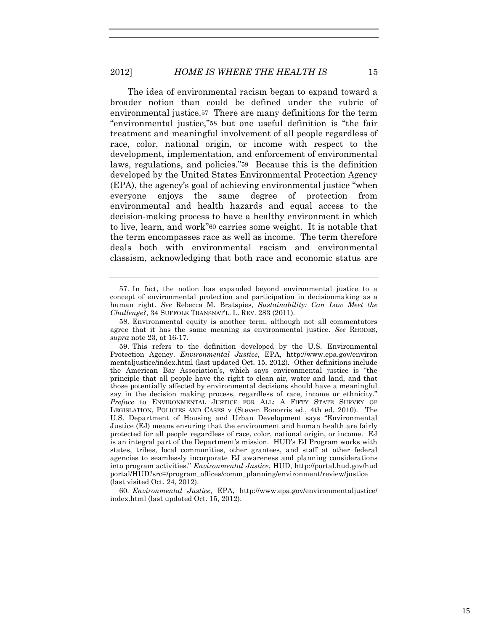The idea of environmental racism began to expand toward a broader notion than could be defined under the rubric of environmental justice.57 There are many definitions for the term "environmental justice,"58 but one useful definition is "the fair treatment and meaningful involvement of all people regardless of race, color, national origin, or income with respect to the development, implementation, and enforcement of environmental laws, regulations, and policies."59 Because this is the definition developed by the United States Environmental Protection Agency (EPA), the agency's goal of achieving environmental justice "when everyone enjoys the same degree of protection from environmental and health hazards and equal access to the decision-making process to have a healthy environment in which to live, learn, and work"60 carries some weight. It is notable that the term encompasses race as well as income. The term therefore deals both with environmental racism and environmental classism, acknowledging that both race and economic status are

60*. Environmental Justice*, EPA, http://www.epa.gov/environmentaljustice/ index.html (last updated Oct. 15, 2012).

<sup>57.</sup> In fact, the notion has expanded beyond environmental justice to a concept of environmental protection and participation in decisionmaking as a human right. *See* Rebecca M. Bratspies, *Sustainability: Can Law Meet the Challenge?*, 34 SUFFOLK TRANSNAT'L. L. REV. 283 (2011).

<sup>58.</sup> Environmental equity is another term, although not all commentators agree that it has the same meaning as environmental justice. *See* RHODES, *supra* note 23, at 16-17.

<sup>59.</sup> This refers to the definition developed by the U.S. Environmental Protection Agency. *Environmental Justice*, EPA, http://www.epa.gov/environ mentaljustice/index.html (last updated Oct. 15, 2012). Other definitions include the American Bar Association's, which says environmental justice is "the principle that all people have the right to clean air, water and land, and that those potentially affected by environmental decisions should have a meaningful say in the decision making process, regardless of race, income or ethnicity." *Preface* to ENVIRONMENTAL JUSTICE FOR ALL: A FIFTY STATE SURVEY OF LEGISLATION, POLICIES AND CASES v (Steven Bonorris ed., 4th ed. 2010). The U.S. Department of Housing and Urban Development says "Environmental Justice (EJ) means ensuring that the environment and human health are fairly protected for all people regardless of race, color, national origin, or income. EJ is an integral part of the Department's mission. HUD's EJ Program works with states, tribes, local communities, other grantees, and staff at other federal agencies to seamlessly incorporate EJ awareness and planning considerations into program activities." *Environmental Justice*, HUD, http://portal.hud.gov/hud portal/HUD?src=/program\_offices/comm\_planning/environment/review/justice (last visited Oct. 24, 2012).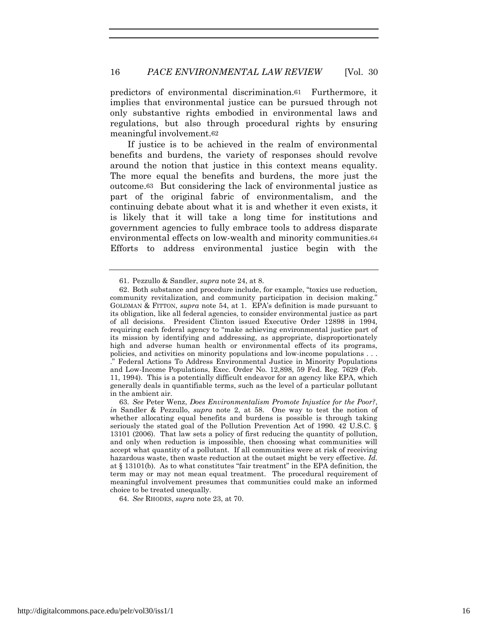predictors of environmental discrimination.61 Furthermore, it implies that environmental justice can be pursued through not only substantive rights embodied in environmental laws and regulations, but also through procedural rights by ensuring meaningful involvement.62

If justice is to be achieved in the realm of environmental benefits and burdens, the variety of responses should revolve around the notion that justice in this context means equality. The more equal the benefits and burdens, the more just the outcome.63 But considering the lack of environmental justice as part of the original fabric of environmentalism, and the continuing debate about what it is and whether it even exists, it is likely that it will take a long time for institutions and government agencies to fully embrace tools to address disparate environmental effects on low-wealth and minority communities.64 Efforts to address environmental justice begin with the

64*. See* RHODES, *supra* note 23, at 70.

<sup>61.</sup> Pezzullo & Sandler, *supra* note 24, at 8.

<sup>62.</sup> Both substance and procedure include, for example, "toxics use reduction, community revitalization, and community participation in decision making." GOLDMAN & FITTON, *supra* note 54, at 1. EPA's definition is made pursuant to its obligation, like all federal agencies, to consider environmental justice as part of all decisions. President Clinton issued Executive Order 12898 in 1994, requiring each federal agency to "make achieving environmental justice part of its mission by identifying and addressing, as appropriate, disproportionately high and adverse human health or environmental effects of its programs, policies, and activities on minority populations and low-income populations . . .

<sup>.&</sup>quot; Federal Actions To Address Environmental Justice in Minority Populations and Low-Income Populations, Exec. Order No. 12,898, 59 Fed. Reg. 7629 (Feb. 11, 1994). This is a potentially difficult endeavor for an agency like EPA, which generally deals in quantifiable terms, such as the level of a particular pollutant in the ambient air.

<sup>63</sup>*. See* Peter Wenz, *Does Environmentalism Promote Injustice for the Poor?*, *in* Sandler & Pezzullo, *supra* note 2, at 58. One way to test the notion of whether allocating equal benefits and burdens is possible is through taking seriously the stated goal of the Pollution Prevention Act of 1990.  $42 \text{ U.S.C.}$ 13101 (2006). That law sets a policy of first reducing the quantity of pollution, and only when reduction is impossible, then choosing what communities will accept what quantity of a pollutant. If all communities were at risk of receiving hazardous waste, then waste reduction at the outset might be very effective. *Id.*  at § 13101(b). As to what constitutes "fair treatment" in the EPA definition, the term may or may not mean equal treatment. The procedural requirement of meaningful involvement presumes that communities could make an informed choice to be treated unequally.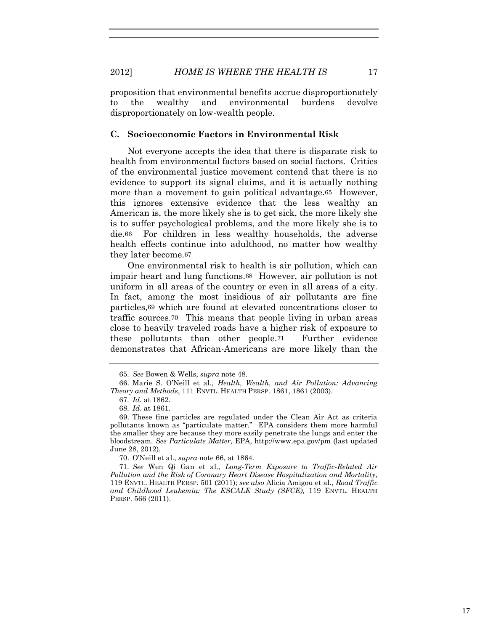proposition that environmental benefits accrue disproportionately to the wealthy and environmental burdens devolve disproportionately on low-wealth people.

#### **C. Socioeconomic Factors in Environmental Risk**

Not everyone accepts the idea that there is disparate risk to health from environmental factors based on social factors. Critics of the environmental justice movement contend that there is no evidence to support its signal claims, and it is actually nothing more than a movement to gain political advantage.65 However, this ignores extensive evidence that the less wealthy an American is, the more likely she is to get sick, the more likely she is to suffer psychological problems, and the more likely she is to die.66 For children in less wealthy households, the adverse health effects continue into adulthood, no matter how wealthy they later become.67

One environmental risk to health is air pollution, which can impair heart and lung functions.68 However, air pollution is not uniform in all areas of the country or even in all areas of a city. In fact, among the most insidious of air pollutants are fine particles,69 which are found at elevated concentrations closer to traffic sources.70 This means that people living in urban areas close to heavily traveled roads have a higher risk of exposure to these pollutants than other people.71 Further evidence demonstrates that African-Americans are more likely than the

70. O'Neill et al., *supra* note 66, at 1864.

71*. See* Wen Qi Gan et al., *Long-Term Exposure to Traffic-Related Air Pollution and the Risk of Coronary Heart Disease Hospitalization and Mortality*, 119 ENVTL. HEALTH PERSP. 501 (2011); *see also* Alicia Amigou et al., *Road Traffic and Childhood Leukemia: The ESCALE Study (SFCE),* 119 ENVTL. HEALTH PERSP. 566 (2011).

<sup>65</sup>*. See* Bowen & Wells, *supra* note 48.

<sup>66.</sup> Marie S. O'Neill et al., *Health, Wealth, and Air Pollution: Advancing Theory and Methods*, 111 ENVTL. HEALTH PERSP. 1861, 1861 (2003).

<sup>67</sup>*. Id.* at 1862.

<sup>68</sup>*. Id*. at 1861.

<sup>69.</sup> These fine particles are regulated under the Clean Air Act as criteria pollutants known as "particulate matter." EPA considers them more harmful the smaller they are because they more easily penetrate the lungs and enter the bloodstream. *See Particulate Matter*, EPA, http://www.epa.gov/pm (last updated June 28, 2012).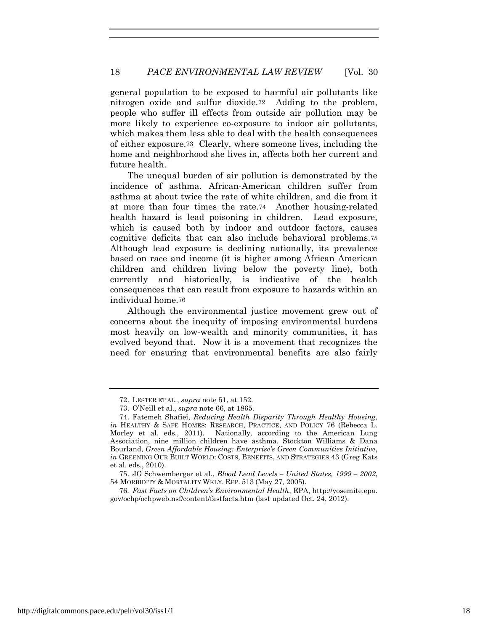general population to be exposed to harmful air pollutants like nitrogen oxide and sulfur dioxide.72 Adding to the problem, people who suffer ill effects from outside air pollution may be more likely to experience co-exposure to indoor air pollutants, which makes them less able to deal with the health consequences of either exposure.73 Clearly, where someone lives, including the home and neighborhood she lives in, affects both her current and future health.

The unequal burden of air pollution is demonstrated by the incidence of asthma. African-American children suffer from asthma at about twice the rate of white children, and die from it at more than four times the rate.74 Another housing-related health hazard is lead poisoning in children. Lead exposure, which is caused both by indoor and outdoor factors, causes cognitive deficits that can also include behavioral problems.75 Although lead exposure is declining nationally, its prevalence based on race and income (it is higher among African American children and children living below the poverty line), both currently and historically, is indicative of the health consequences that can result from exposure to hazards within an individual home.76

Although the environmental justice movement grew out of concerns about the inequity of imposing environmental burdens most heavily on low-wealth and minority communities, it has evolved beyond that. Now it is a movement that recognizes the need for ensuring that environmental benefits are also fairly

<sup>72.</sup> LESTER ET AL., *supra* note 51, at 152.

<sup>73.</sup> O'Neill et al., *supra* note 66, at 1865.

<sup>74.</sup> Fatemeh Shafiei, *Reducing Health Disparity Through Healthy Housing*, *in* HEALTHY & SAFE HOMES: RESEARCH, PRACTICE, AND POLICY 76 (Rebecca L. Morley et al. eds., 2011). Nationally, according to the American Lung Association, nine million children have asthma. Stockton Williams & Dana Bourland, *Green Affordable Housing: Enterprise's Green Communities Initiative*, *in* GREENING OUR BUILT WORLD: COSTS, BENEFITS, AND STRATEGIES 43 (Greg Kats et al. eds., 2010).

<sup>75.</sup> JG Schwemberger et al., *Blood Lead Levels – United States, 1999 – 2002*, 54 MORBIDITY & MORTALITY WKLY. REP. 513 (May 27, 2005).

<sup>76</sup>*. Fast Facts on Children's Environmental Health*, EPA, http://yosemite.epa. gov/ochp/ochpweb.nsf/content/fastfacts.htm (last updated Oct. 24, 2012).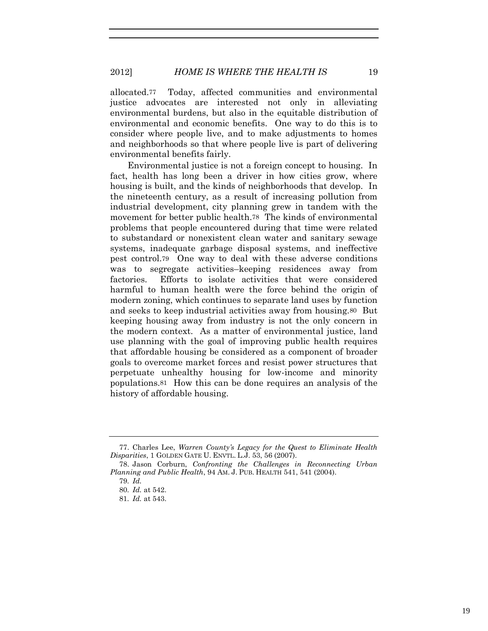2012] *HOME IS WHERE THE HEALTH IS* 19

allocated.77 Today, affected communities and environmental justice advocates are interested not only in alleviating environmental burdens, but also in the equitable distribution of environmental and economic benefits. One way to do this is to consider where people live, and to make adjustments to homes and neighborhoods so that where people live is part of delivering environmental benefits fairly.

Environmental justice is not a foreign concept to housing. In fact, health has long been a driver in how cities grow, where housing is built, and the kinds of neighborhoods that develop. In the nineteenth century, as a result of increasing pollution from industrial development, city planning grew in tandem with the movement for better public health.78 The kinds of environmental problems that people encountered during that time were related to substandard or nonexistent clean water and sanitary sewage systems, inadequate garbage disposal systems, and ineffective pest control.79 One way to deal with these adverse conditions was to segregate activities–keeping residences away from factories. Efforts to isolate activities that were considered harmful to human health were the force behind the origin of modern zoning, which continues to separate land uses by function and seeks to keep industrial activities away from housing.80 But keeping housing away from industry is not the only concern in the modern context. As a matter of environmental justice, land use planning with the goal of improving public health requires that affordable housing be considered as a component of broader goals to overcome market forces and resist power structures that perpetuate unhealthy housing for low-income and minority populations.81 How this can be done requires an analysis of the history of affordable housing.

<sup>77.</sup> Charles Lee, *Warren County's Legacy for the Quest to Eliminate Health Disparities*, 1 GOLDEN GATE U. ENVTL. L.J. 53, 56 (2007).

<sup>78.</sup> Jason Corburn, *Confronting the Challenges in Reconnecting Urban Planning and Public Health*, 94 AM. J. PUB. HEALTH 541, 541 (2004).

<sup>79</sup>*. Id.*

<sup>80</sup>*. Id.* at 542.

<sup>81</sup>*. Id.* at 543.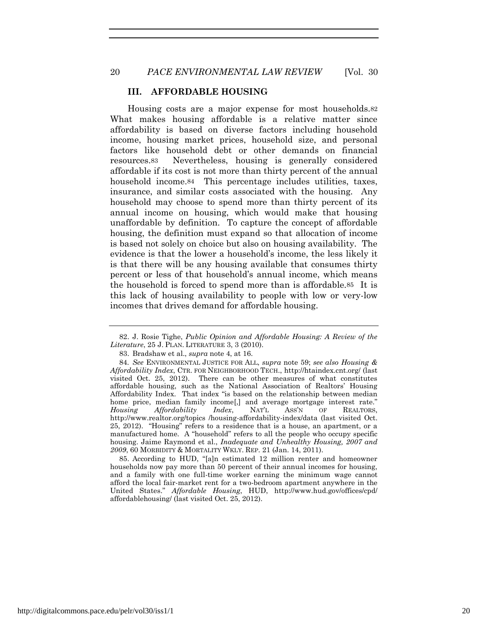# **III. AFFORDABLE HOUSING**

Housing costs are a major expense for most households.82 What makes housing affordable is a relative matter since affordability is based on diverse factors including household income, housing market prices, household size, and personal factors like household debt or other demands on financial resources.83 Nevertheless, housing is generally considered affordable if its cost is not more than thirty percent of the annual household income.<sup>84</sup> This percentage includes utilities, taxes, insurance, and similar costs associated with the housing. Any household may choose to spend more than thirty percent of its annual income on housing, which would make that housing unaffordable by definition. To capture the concept of affordable housing, the definition must expand so that allocation of income is based not solely on choice but also on housing availability. The evidence is that the lower a household's income, the less likely it is that there will be any housing available that consumes thirty percent or less of that household's annual income, which means the household is forced to spend more than is affordable.85 It is this lack of housing availability to people with low or very-low incomes that drives demand for affordable housing.

85. According to HUD, "[a]n estimated 12 million renter and homeowner households now pay more than 50 percent of their annual incomes for housing, and a family with one full-time worker earning the minimum wage cannot afford the local fair-market rent for a two-bedroom apartment anywhere in the United States." *Affordable Housing*, HUD, http://www.hud.gov/offices/cpd/ affordablehousing/ (last visited Oct. 25, 2012).

<sup>82.</sup> J. Rosie Tighe, *Public Opinion and Affordable Housing: A Review of the Literature*, 25 J. PLAN. LITERATURE 3, 3 (2010).

<sup>83.</sup> Bradshaw et al., *supra* note 4, at 16.

<sup>84</sup>*. See* ENVIRONMENTAL JUSTICE FOR ALL, *supra* note 59; *see also Housing & Affordability Index*, CTR. FOR NEIGHBORHOOD TECH., http://htaindex.cnt.org/ (last visited Oct. 25, 2012). There can be other measures of what constitutes affordable housing, such as the National Association of Realtors' Housing Affordability Index. That index "is based on the relationship between median home price, median family income<sup>[1]</sup> and average mortgage interest rate."<br>*Housing Affordability Index*, NATL ASS'N OF REALTORS, *Affordability Index*, NAT'L ASS'N OF REALTORS, http://www.realtor.org/topics /housing-affordability-index/data (last visited Oct. 25, 2012). "Housing" refers to a residence that is a house, an apartment, or a manufactured home. A "household" refers to all the people who occupy specific housing. Jaime Raymond et al., *Inadequate and Unhealthy Housing, 2007 and 2009*, 60 MORBIDITY & MORTALITY WKLY. REP. 21 (Jan. 14, 2011).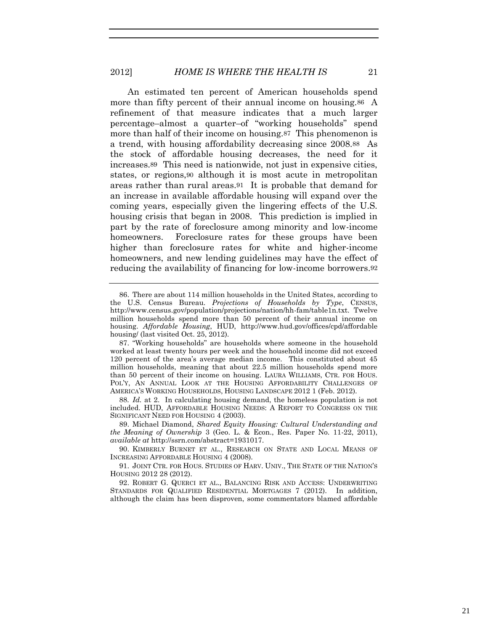An estimated ten percent of American households spend more than fifty percent of their annual income on housing.86 A refinement of that measure indicates that a much larger percentage–almost a quarter–of "working households" spend more than half of their income on housing.87 This phenomenon is a trend, with housing affordability decreasing since 2008.88 As the stock of affordable housing decreases, the need for it increases.89 This need is nationwide, not just in expensive cities, states, or regions,90 although it is most acute in metropolitan areas rather than rural areas.91 It is probable that demand for an increase in available affordable housing will expand over the coming years, especially given the lingering effects of the U.S. housing crisis that began in 2008. This prediction is implied in part by the rate of foreclosure among minority and low-income homeowners. Foreclosure rates for these groups have been higher than foreclosure rates for white and higher-income homeowners, and new lending guidelines may have the effect of reducing the availability of financing for low-income borrowers.92

88*. Id.* at 2. In calculating housing demand, the homeless population is not included. HUD, AFFORDABLE HOUSING NEEDS: A REPORT TO CONGRESS ON THE SIGNIFICANT NEED FOR HOUSING 4 (2003).

89. Michael Diamond, *Shared Equity Housing: Cultural Understanding and the Meaning of Ownership* 3 (Geo. L. & Econ., Res. Paper No. 11-22, 2011), *available at* http://ssrn.com/abstract=1931017.

90. KIMBERLY BURNET ET AL., RESEARCH ON STATE AND LOCAL MEANS OF INCREASING AFFORDABLE HOUSING 4 (2008).

91. JOINT CTR. FOR HOUS. STUDIES OF HARV. UNIV., THE STATE OF THE NATION'S HOUSING 2012 28 (2012).

92. ROBERT G. QUERCI ET AL., BALANCING RISK AND ACCESS: UNDERWRITING STANDARDS FOR QUALIFIED RESIDENTIAL MORTGAGES 7 (2012). In addition, although the claim has been disproven, some commentators blamed affordable

<sup>86.</sup> There are about 114 million households in the United States, according to the U.S. Census Bureau. *Projections of Households by Type*, CENSUS, http://www.census.gov/population/projections/nation/hh-fam/table1n.txt. Twelve million households spend more than 50 percent of their annual income on housing. *Affordable Housing*, HUD, http://www.hud.gov/offices/cpd/affordable housing/ (last visited Oct. 25, 2012).

<sup>87.</sup> "Working households" are households where someone in the household worked at least twenty hours per week and the household income did not exceed 120 percent of the area's average median income. This constituted about 45 million households, meaning that about 22.5 million households spend more than 50 percent of their income on housing. LAURA WILLIAMS, CTR. FOR HOUS. POL'Y, AN ANNUAL LOOK AT THE HOUSING AFFORDABILITY CHALLENGES OF AMERICA'S WORKING HOUSEHOLDS, HOUSING LANDSCAPE 2012 1 (Feb. 2012).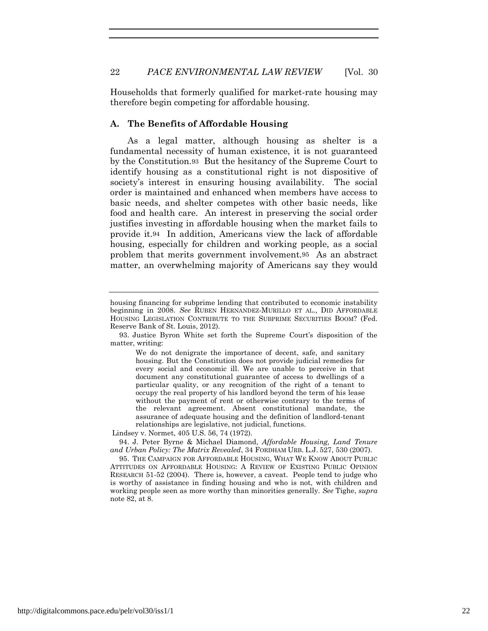Households that formerly qualified for market-rate housing may therefore begin competing for affordable housing.

#### **A. The Benefits of Affordable Housing**

As a legal matter, although housing as shelter is a fundamental necessity of human existence, it is not guaranteed by the Constitution.93 But the hesitancy of the Supreme Court to identify housing as a constitutional right is not dispositive of society's interest in ensuring housing availability. The social order is maintained and enhanced when members have access to basic needs, and shelter competes with other basic needs, like food and health care. An interest in preserving the social order justifies investing in affordable housing when the market fails to provide it.94 In addition, Americans view the lack of affordable housing, especially for children and working people, as a social problem that merits government involvement.95 As an abstract matter, an overwhelming majority of Americans say they would

housing financing for subprime lending that contributed to economic instability beginning in 2008. *See* RUBEN HERNANDEZ-MURILLO ET AL., DID AFFORDABLE HOUSING LEGISLATION CONTRIBUTE TO THE SUBPRIME SECURITIES BOOM? (Fed. Reserve Bank of St. Louis, 2012).

<sup>93.</sup> Justice Byron White set forth the Supreme Court's disposition of the matter, writing:

We do not denigrate the importance of decent, safe, and sanitary housing. But the Constitution does not provide judicial remedies for every social and economic ill. We are unable to perceive in that document any constitutional guarantee of access to dwellings of a particular quality, or any recognition of the right of a tenant to occupy the real property of his landlord beyond the term of his lease without the payment of rent or otherwise contrary to the terms of the relevant agreement. Absent constitutional mandate, the assurance of adequate housing and the definition of landlord-tenant relationships are legislative, not judicial, functions.

Lindsey v. Normet, 405 U.S. 56, 74 (1972).

<sup>94.</sup> J. Peter Byrne & Michael Diamond, *Affordable Housing, Land Tenure and Urban Policy: The Matrix Revealed*, 34 FORDHAM URB. L.J. 527, 530 (2007).

<sup>95.</sup> THE CAMPAIGN FOR AFFORDABLE HOUSING, WHAT WE KNOW ABOUT PUBLIC ATTITUDES ON AFFORDABLE HOUSING: A REVIEW OF EXISTING PUBLIC OPINION RESEARCH 51-52 (2004). There is, however, a caveat. People tend to judge who is worthy of assistance in finding housing and who is not, with children and working people seen as more worthy than minorities generally. *See* Tighe, *supra* note 82, at 8.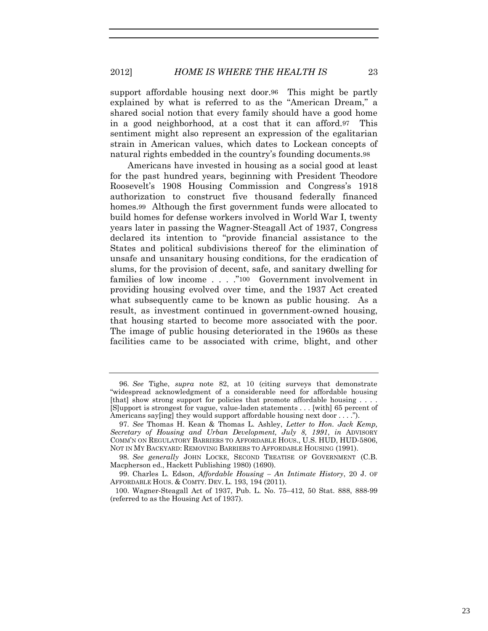#### 2012] *HOME IS WHERE THE HEALTH IS* 23

support affordable housing next door.96 This might be partly explained by what is referred to as the "American Dream," a shared social notion that every family should have a good home in a good neighborhood, at a cost that it can afford.97 This sentiment might also represent an expression of the egalitarian strain in American values, which dates to Lockean concepts of natural rights embedded in the country's founding documents.98

Americans have invested in housing as a social good at least for the past hundred years, beginning with President Theodore Roosevelt's 1908 Housing Commission and Congress's 1918 authorization to construct five thousand federally financed homes.99 Although the first government funds were allocated to build homes for defense workers involved in World War I, twenty years later in passing the Wagner-Steagall Act of 1937, Congress declared its intention to "provide financial assistance to the States and political subdivisions thereof for the elimination of unsafe and unsanitary housing conditions, for the eradication of slums, for the provision of decent, safe, and sanitary dwelling for families of low income . . . ."100 Government involvement in providing housing evolved over time, and the 1937 Act created what subsequently came to be known as public housing. As a result, as investment continued in government-owned housing, that housing started to become more associated with the poor. The image of public housing deteriorated in the 1960s as these facilities came to be associated with crime, blight, and other

<sup>96</sup>*. See* Tighe, *supra* note 82, at 10 (citing surveys that demonstrate "widespread acknowledgment of a considerable need for affordable housing [that] show strong support for policies that promote affordable housing . . . . [S]upport is strongest for vague, value-laden statements . . . [with] 65 percent of Americans say[ing] they would support affordable housing next door . . . .").

<sup>97</sup>*. See* Thomas H. Kean & Thomas L. Ashley, *Letter to Hon. Jack Kemp, Secretary of Housing and Urban Development, July 8, 1991*, *in* ADVISORY COMM'N ON REGULATORY BARRIERS TO AFFORDABLE HOUS., U.S. HUD, HUD-5806, NOT IN MY BACKYARD: REMOVING BARRIERS TO AFFORDABLE HOUSING (1991).

<sup>98</sup>*. See generally* JOHN LOCKE, SECOND TREATISE OF GOVERNMENT (C.B. Macpherson ed., Hackett Publishing 1980) (1690).

<sup>99.</sup> Charles L. Edson, *Affordable Housing – An Intimate History*, 20 J. OF AFFORDABLE HOUS. & COMTY. DEV. L. 193, 194 (2011).

<sup>100.</sup> Wagner-Steagall Act of 1937, Pub. L. No. 75–412, 50 Stat. 888, 888-99 (referred to as the Housing Act of 1937).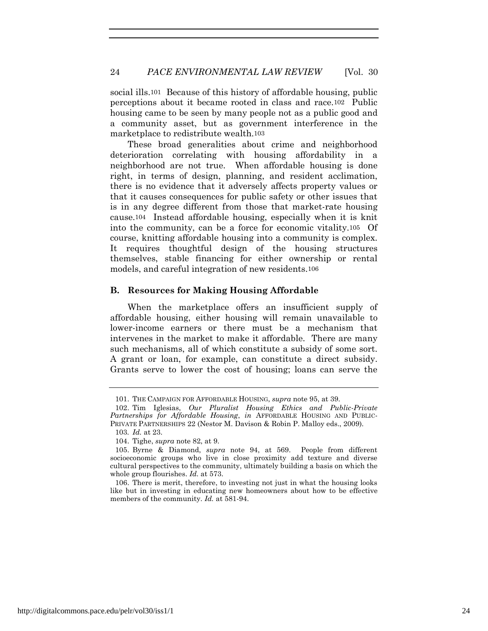social ills.101 Because of this history of affordable housing, public perceptions about it became rooted in class and race.102 Public housing came to be seen by many people not as a public good and a community asset, but as government interference in the marketplace to redistribute wealth.103

These broad generalities about crime and neighborhood deterioration correlating with housing affordability in a neighborhood are not true. When affordable housing is done right, in terms of design, planning, and resident acclimation, there is no evidence that it adversely affects property values or that it causes consequences for public safety or other issues that is in any degree different from those that market-rate housing cause.104 Instead affordable housing, especially when it is knit into the community, can be a force for economic vitality.105 Of course, knitting affordable housing into a community is complex. It requires thoughtful design of the housing structures themselves, stable financing for either ownership or rental models, and careful integration of new residents.106

#### **B. Resources for Making Housing Affordable**

When the marketplace offers an insufficient supply of affordable housing, either housing will remain unavailable to lower-income earners or there must be a mechanism that intervenes in the market to make it affordable. There are many such mechanisms, all of which constitute a subsidy of some sort. A grant or loan, for example, can constitute a direct subsidy. Grants serve to lower the cost of housing; loans can serve the

<sup>101.</sup> THE CAMPAIGN FOR AFFORDABLE HOUSING, *supra* note 95, at 39.

<sup>102.</sup> Tim Iglesias, *Our Pluralist Housing Ethics and Public-Private Partnerships for Affordable Housing*, *in* AFFORDABLE HOUSING AND PUBLIC-PRIVATE PARTNERSHIPS 22 (Nestor M. Davison & Robin P. Malloy eds., 2009).

<sup>103</sup>*. Id.* at 23.

<sup>104.</sup> Tighe, *supra* note 82, at 9.

<sup>105.</sup> Byrne & Diamond, *supra* note 94, at 569. People from different socioeconomic groups who live in close proximity add texture and diverse cultural perspectives to the community, ultimately building a basis on which the whole group flourishes. *Id.* at 573.

<sup>106.</sup> There is merit, therefore, to investing not just in what the housing looks like but in investing in educating new homeowners about how to be effective members of the community. *Id.* at 581-94.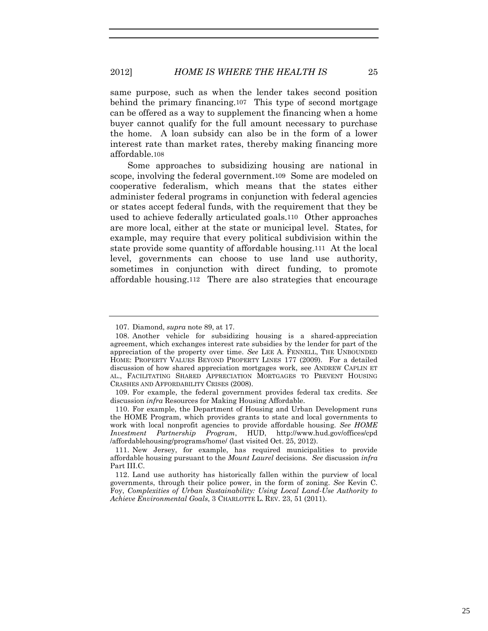same purpose, such as when the lender takes second position behind the primary financing.107 This type of second mortgage can be offered as a way to supplement the financing when a home buyer cannot qualify for the full amount necessary to purchase the home. A loan subsidy can also be in the form of a lower interest rate than market rates, thereby making financing more affordable.108

Some approaches to subsidizing housing are national in scope, involving the federal government.109 Some are modeled on cooperative federalism, which means that the states either administer federal programs in conjunction with federal agencies or states accept federal funds, with the requirement that they be used to achieve federally articulated goals.110 Other approaches are more local, either at the state or municipal level. States, for example, may require that every political subdivision within the state provide some quantity of affordable housing.111 At the local level, governments can choose to use land use authority, sometimes in conjunction with direct funding, to promote affordable housing.112 There are also strategies that encourage

<sup>107.</sup> Diamond, *supra* note 89, at 17.

<sup>108.</sup> Another vehicle for subsidizing housing is a shared-appreciation agreement, which exchanges interest rate subsidies by the lender for part of the appreciation of the property over time. *See* LEE A. FENNELL, THE UNBOUNDED HOME: PROPERTY VALUES BEYOND PROPERTY LINES 177 (2009). For a detailed discussion of how shared appreciation mortgages work, see ANDREW CAPLIN ET AL., FACILITATING SHARED APPRECIATION MORTGAGES TO PREVENT HOUSING CRASHES AND AFFORDABILITY CRISES (2008).

<sup>109.</sup> For example, the federal government provides federal tax credits. *See* discussion *infra* Resources for Making Housing Affordable.

<sup>110.</sup> For example, the Department of Housing and Urban Development runs the HOME Program, which provides grants to state and local governments to work with local nonprofit agencies to provide affordable housing. *See HOME Investment Partnership Program*, HUD, http://www.hud.gov/offices/cpd /affordablehousing/programs/home/ (last visited Oct. 25, 2012).

<sup>111.</sup> New Jersey, for example, has required municipalities to provide affordable housing pursuant to the *Mount Laurel* decisions. *See* discussion *infra*  Part III.C.

<sup>112.</sup> Land use authority has historically fallen within the purview of local governments, through their police power, in the form of zoning. *See* Kevin C. Foy, *Complexities of Urban Sustainability: Using Local Land-Use Authority to Achieve Environmental Goals*, 3 CHARLOTTE L. REV. 23, 51 (2011).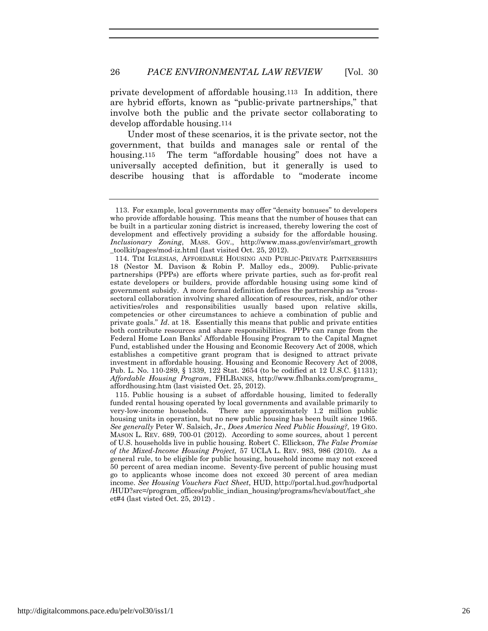private development of affordable housing.113 In addition, there are hybrid efforts, known as "public-private partnerships," that involve both the public and the private sector collaborating to develop affordable housing.114

Under most of these scenarios, it is the private sector, not the government, that builds and manages sale or rental of the housing.115 The term "affordable housing" does not have a universally accepted definition, but it generally is used to describe housing that is affordable to "moderate income

115. Public housing is a subset of affordable housing, limited to federally funded rental housing operated by local governments and available primarily to very-low-income households. There are approximately 1.2 million public housing units in operation, but no new public housing has been built since 1965. *See generally* Peter W. Salsich, Jr., *Does America Need Public Housing?,* 19 GEO. MASON L. REV. 689, 700-01 (2012). According to some sources, about 1 percent of U.S. households live in public housing. Robert C. Ellickson, *The False Promise of the Mixed-Income Housing Project,* 57 UCLA L. REV. 983, 986 (2010). As a general rule, to be eligible for public housing, household income may not exceed 50 percent of area median income. Seventy-five percent of public housing must go to applicants whose income does not exceed 30 percent of area median income. *See Housing Vouchers Fact Sheet*, HUD, http://portal.hud.gov/hudportal /HUD?src=/program\_offices/public\_indian\_housing/programs/hcv/about/fact\_she et#4 (last visted Oct. 25, 2012) .

<sup>113.</sup> For example, local governments may offer "density bonuses" to developers who provide affordable housing. This means that the number of houses that can be built in a particular zoning district is increased, thereby lowering the cost of development and effectively providing a subsidy for the affordable housing. *Inclusionary Zoning*, MASS. GOV., http://www.mass.gov/envir/smart\_growth \_toolkit/pages/mod-iz.html (last visited Oct. 25, 2012).

<sup>114.</sup> TIM IGLESIAS, AFFORDABLE HOUSING AND PUBLIC-PRIVATE PARTNERSHIPS 18 (Nestor M. Davison & Robin P. Malloy eds., 2009). Public-private partnerships (PPPs) are efforts where private parties, such as for-profit real estate developers or builders, provide affordable housing using some kind of government subsidy. A more formal definition defines the partnership as "crosssectoral collaboration involving shared allocation of resources, risk, and/or other activities/roles and responsibilities usually based upon relative skills, competencies or other circumstances to achieve a combination of public and private goals." *Id*. at 18. Essentially this means that public and private entities both contribute resources and share responsibilities. PPPs can range from the Federal Home Loan Banks' Affordable Housing Program to the Capital Magnet Fund, established under the Housing and Economic Recovery Act of 2008, which establishes a competitive grant program that is designed to attract private investment in affordable housing. Housing and Economic Recovery Act of 2008, Pub. L. No. 110-289, § 1339, 122 Stat. 2654 (to be codified at 12 U.S.C. §1131); *Affordable Housing Program*, FHLBANKS, http://www.fhlbanks.com/programs\_ affordhousing.htm (last visisted Oct. 25, 2012).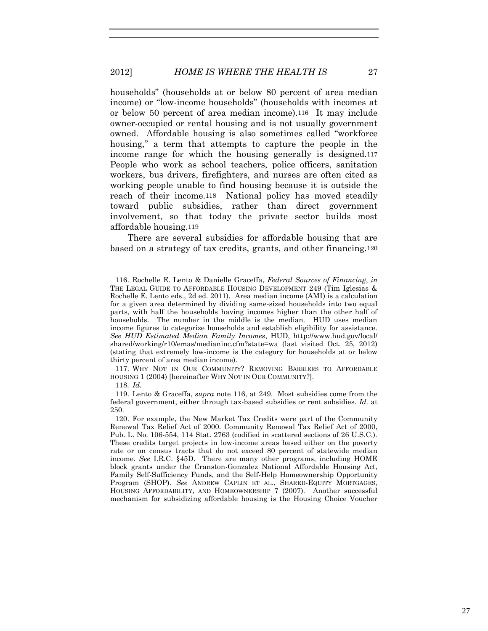households" (households at or below 80 percent of area median income) or "low-income households" (households with incomes at or below 50 percent of area median income).116 It may include owner-occupied or rental housing and is not usually government owned. Affordable housing is also sometimes called "workforce housing," a term that attempts to capture the people in the income range for which the housing generally is designed.117 People who work as school teachers, police officers, sanitation workers, bus drivers, firefighters, and nurses are often cited as working people unable to find housing because it is outside the reach of their income.118 National policy has moved steadily toward public subsidies, rather than direct government involvement, so that today the private sector builds most affordable housing.119

There are several subsidies for affordable housing that are based on a strategy of tax credits, grants, and other financing.120

117. WHY NOT IN OUR COMMUNITY? REMOVING BARRIERS TO AFFORDABLE HOUSING 1 (2004) [hereinafter WHY NOT IN OUR COMMUNITY?].

118*. Id.*

119. Lento & Graceffa, *supra* note 116, at 249. Most subsidies come from the federal government, either through tax-based subsidies or rent subsidies. *Id.* at 250.

<sup>116.</sup> Rochelle E. Lento & Danielle Graceffa, *Federal Sources of Financing*, *in* THE LEGAL GUIDE TO AFFORDABLE HOUSING DEVELOPMENT 249 (Tim Iglesias & Rochelle E. Lento eds., 2d ed. 2011). Area median income (AMI) is a calculation for a given area determined by dividing same-sized households into two equal parts, with half the households having incomes higher than the other half of households. The number in the middle is the median. HUD uses median income figures to categorize households and establish eligibility for assistance. *See HUD Estimated Median Family Incomes*, HUD, http://www.hud.gov/local/ shared/working/r10/emas/medianinc.cfm?state=wa (last visited Oct. 25, 2012) (stating that extremely low-income is the category for households at or below thirty percent of area median income).

<sup>120.</sup> For example, the New Market Tax Credits were part of the Community Renewal Tax Relief Act of 2000. Community Renewal Tax Relief Act of 2000, Pub. L. No. 106-554, 114 Stat. 2763 (codified in scattered sections of 26 U.S.C.). These credits target projects in low-income areas based either on the poverty rate or on census tracts that do not exceed 80 percent of statewide median income. *See* I.R.C. §45D. There are many other programs, including HOME block grants under the Cranston-Gonzalez National Affordable Housing Act, Family Self-Sufficiency Funds, and the Self-Help Homeownership Opportunity Program (SHOP). *See* ANDREW CAPLIN ET AL., SHARED-EQUITY MORTGAGES, HOUSING AFFORDABILITY, AND HOMEOWNERSHIP 7 (2007). Another successful mechanism for subsidizing affordable housing is the Housing Choice Voucher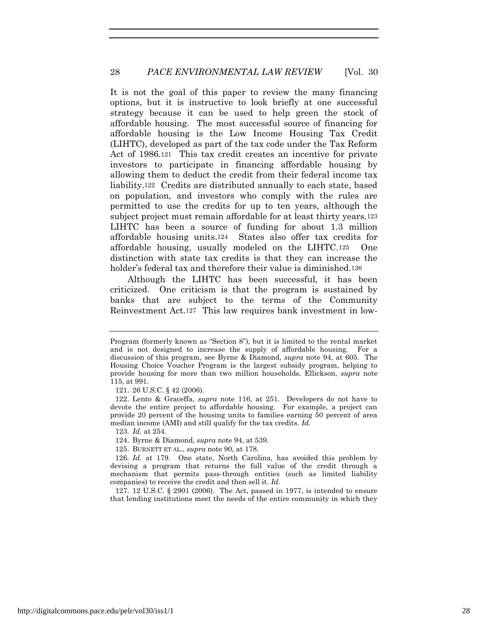It is not the goal of this paper to review the many financing options, but it is instructive to look briefly at one successful strategy because it can be used to help green the stock of affordable housing. The most successful source of financing for affordable housing is the Low Income Housing Tax Credit (LIHTC), developed as part of the tax code under the Tax Reform Act of 1986.121 This tax credit creates an incentive for private investors to participate in financing affordable housing by allowing them to deduct the credit from their federal income tax liability.122 Credits are distributed annually to each state, based on population, and investors who comply with the rules are permitted to use the credits for up to ten years, although the subject project must remain affordable for at least thirty years.123 LIHTC has been a source of funding for about 1.3 million affordable housing units.124 States also offer tax credits for affordable housing, usually modeled on the LIHTC.125 One distinction with state tax credits is that they can increase the holder's federal tax and therefore their value is diminished.126

Although the LIHTC has been successful, it has been criticized. One criticism is that the program is sustained by banks that are subject to the terms of the Community Reinvestment Act.127 This law requires bank investment in low-

123*. Id.* at 254.

127. 12 U.S.C. § 2901 (2006). The Act, passed in 1977, is intended to ensure that lending institutions meet the needs of the entire community in which they

Program (formerly known as "Section 8"), but it is limited to the rental market and is not designed to increase the supply of affordable housing. For a discussion of this program, see Byrne & Diamond, *supra* note 94, at 605. The Housing Choice Voucher Program is the largest subsidy program, helping to provide housing for more than two million households. Ellickson, *supra* note 115, at 991.

<sup>121.</sup> 26 U.S.C. § 42 (2006).

<sup>122.</sup> Lento & Graceffa, *supra* note 116, at 251. Developers do not have to devote the entire project to affordable housing. For example, a project can provide 20 percent of the housing units to families earning 50 percent of area median income (AMI) and still qualify for the tax credits. *Id.*

<sup>124.</sup> Byrne & Diamond, *supra* note 94, at 539.

<sup>125.</sup> BURNETT ET AL., *supra* note 90, at 178.

<sup>126</sup>*. Id.* at 179. One state, North Carolina, has avoided this problem by devising a program that returns the full value of the credit through a mechanism that permits pass-through entities (such as limited liability companies) to receive the credit and then sell it. *Id.*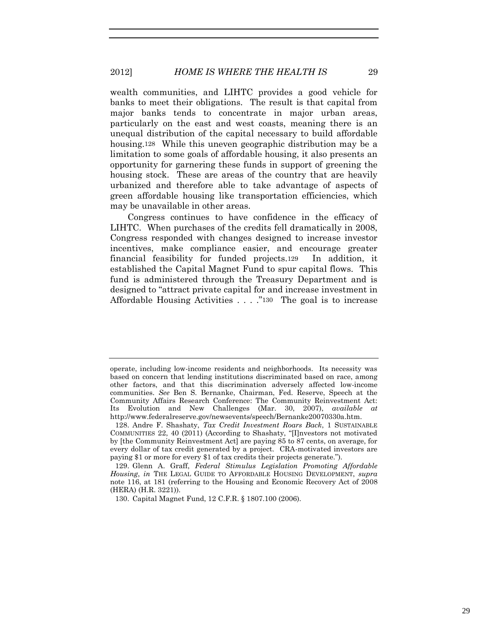# 2012] *HOME IS WHERE THE HEALTH IS* 29

wealth communities, and LIHTC provides a good vehicle for banks to meet their obligations. The result is that capital from major banks tends to concentrate in major urban areas, particularly on the east and west coasts, meaning there is an unequal distribution of the capital necessary to build affordable housing.128 While this uneven geographic distribution may be a limitation to some goals of affordable housing, it also presents an opportunity for garnering these funds in support of greening the housing stock. These are areas of the country that are heavily urbanized and therefore able to take advantage of aspects of green affordable housing like transportation efficiencies, which may be unavailable in other areas.

Congress continues to have confidence in the efficacy of LIHTC. When purchases of the credits fell dramatically in 2008, Congress responded with changes designed to increase investor incentives, make compliance easier, and encourage greater financial feasibility for funded projects.129 In addition, it established the Capital Magnet Fund to spur capital flows. This fund is administered through the Treasury Department and is designed to "attract private capital for and increase investment in Affordable Housing Activities . . . ."130 The goal is to increase

operate, including low-income residents and neighborhoods. Its necessity was based on concern that lending institutions discriminated based on race, among other factors, and that this discrimination adversely affected low-income communities. *See* Ben S. Bernanke, Chairman, Fed. Reserve, Speech at the Community Affairs Research Conference: The Community Reinvestment Act: Its Evolution and New Challenges (Mar. 30, 2007), *available at* http://www.federalreserve.gov/newsevents/speech/Bernanke20070330a.htm.

<sup>128.</sup> Andre F. Shashaty, *Tax Credit Investment Roars Back*, 1 SUSTAINABLE COMMUNITIES 22, 40 (2011) (According to Shashaty, "[I]nvestors not motivated by [the Community Reinvestment Act] are paying 85 to 87 cents, on average, for every dollar of tax credit generated by a project. CRA-motivated investors are paying \$1 or more for every \$1 of tax credits their projects generate.").

<sup>129.</sup> Glenn A. Graff, *Federal Stimulus Legislation Promoting Affordable Housing*, *in* THE LEGAL GUIDE TO AFFORDABLE HOUSING DEVELOPMENT, *supra* note 116, at 181 (referring to the Housing and Economic Recovery Act of 2008 (HERA) (H.R. 3221)).

<sup>130.</sup> Capital Magnet Fund, 12 C.F.R. § 1807.100 (2006).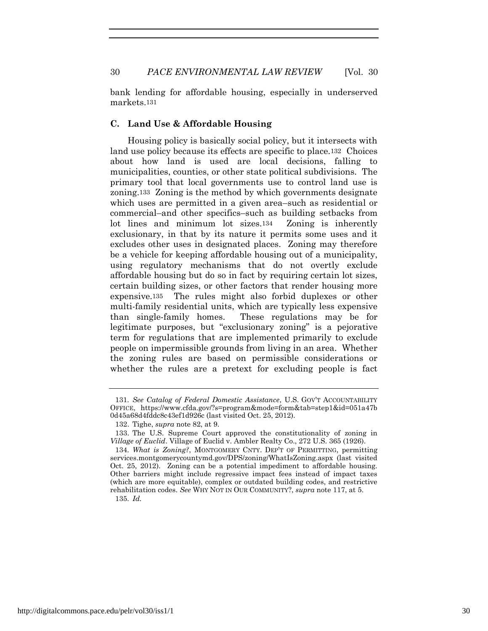bank lending for affordable housing, especially in underserved markets.131

## **C. Land Use & Affordable Housing**

Housing policy is basically social policy, but it intersects with land use policy because its effects are specific to place.132 Choices about how land is used are local decisions, falling to municipalities, counties, or other state political subdivisions. The primary tool that local governments use to control land use is zoning.133 Zoning is the method by which governments designate which uses are permitted in a given area–such as residential or commercial–and other specifics–such as building setbacks from lot lines and minimum lot sizes.134 Zoning is inherently exclusionary, in that by its nature it permits some uses and it excludes other uses in designated places. Zoning may therefore be a vehicle for keeping affordable housing out of a municipality, using regulatory mechanisms that do not overtly exclude affordable housing but do so in fact by requiring certain lot sizes, certain building sizes, or other factors that render housing more expensive.135 The rules might also forbid duplexes or other multi-family residential units, which are typically less expensive than single-family homes. These regulations may be for legitimate purposes, but "exclusionary zoning" is a pejorative term for regulations that are implemented primarily to exclude people on impermissible grounds from living in an area. Whether the zoning rules are based on permissible considerations or whether the rules are a pretext for excluding people is fact

<sup>131</sup>*. See Catalog of Federal Domestic Assistance*, U.S. GOV'T ACCOUNTABILITY OFFICE, https://www.cfda.gov/?s=program&mode=form&tab=step1&id=051a47b 0d45a68d4fddc8c43ef1d926c (last visited Oct. 25, 2012).

<sup>132.</sup> Tighe, *supra* note 82, at 9.

<sup>133.</sup> The U.S. Supreme Court approved the constitutionality of zoning in *Village of Euclid*. Village of Euclid v. Ambler Realty Co., 272 U.S. 365 (1926).

<sup>134</sup>*. What is Zoning?*, MONTGOMERY CNTY. DEP'T OF PERMITTING, permitting services.montgomerycountymd.gov/DPS/zoning/WhatIsZoning.aspx (last visited Oct. 25, 2012). Zoning can be a potential impediment to affordable housing. Other barriers might include regressive impact fees instead of impact taxes (which are more equitable), complex or outdated building codes, and restrictive rehabilitation codes. *See* WHY NOT IN OUR COMMUNITY?, *supra* note 117, at 5. 135*. Id.*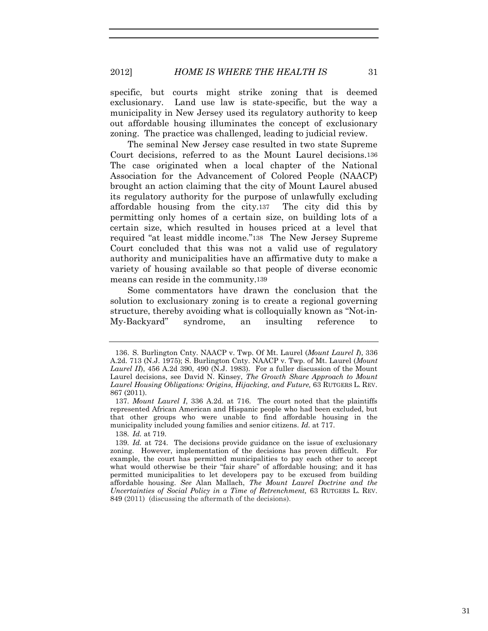specific, but courts might strike zoning that is deemed exclusionary. Land use law is state-specific, but the way a municipality in New Jersey used its regulatory authority to keep out affordable housing illuminates the concept of exclusionary zoning. The practice was challenged, leading to judicial review.

The seminal New Jersey case resulted in two state Supreme Court decisions, referred to as the Mount Laurel decisions.136 The case originated when a local chapter of the National Association for the Advancement of Colored People (NAACP) brought an action claiming that the city of Mount Laurel abused its regulatory authority for the purpose of unlawfully excluding affordable housing from the city.137 The city did this by permitting only homes of a certain size, on building lots of a certain size, which resulted in houses priced at a level that required "at least middle income."138 The New Jersey Supreme Court concluded that this was not a valid use of regulatory authority and municipalities have an affirmative duty to make a variety of housing available so that people of diverse economic means can reside in the community.139

Some commentators have drawn the conclusion that the solution to exclusionary zoning is to create a regional governing structure, thereby avoiding what is colloquially known as "Not-in-My-Backyard" syndrome, an insulting reference to

138*. Id.* at 719.

<sup>136.</sup> S. Burlington Cnty. NAACP v. Twp. Of Mt. Laurel (*Mount Laurel I*), 336 A.2d. 713 (N.J. 1975); S. Burlington Cnty. NAACP v. Twp. of Mt. Laurel (*Mount Laurel II*), 456 A.2d 390, 490 (N.J. 1983). For a fuller discussion of the Mount Laurel decisions, see David N. Kinsey, *The Growth Share Approach to Mount Laurel Housing Obligations: Origins, Hijacking, and Future,* 63 RUTGERS L. REV. 867 (2011).

<sup>137</sup>*. Mount Laurel I*, 336 A.2d. at 716. The court noted that the plaintiffs represented African American and Hispanic people who had been excluded, but that other groups who were unable to find affordable housing in the municipality included young families and senior citizens. *Id.* at 717.

<sup>139</sup>*. Id.* at 724. The decisions provide guidance on the issue of exclusionary zoning. However, implementation of the decisions has proven difficult. For example, the court has permitted municipalities to pay each other to accept what would otherwise be their "fair share" of affordable housing; and it has permitted municipalities to let developers pay to be excused from building affordable housing. *See* Alan Mallach, *The Mount Laurel Doctrine and the Uncertainties of Social Policy in a Time of Retrenchment,* 63 RUTGERS L. REV. 849 (2011) (discussing the aftermath of the decisions).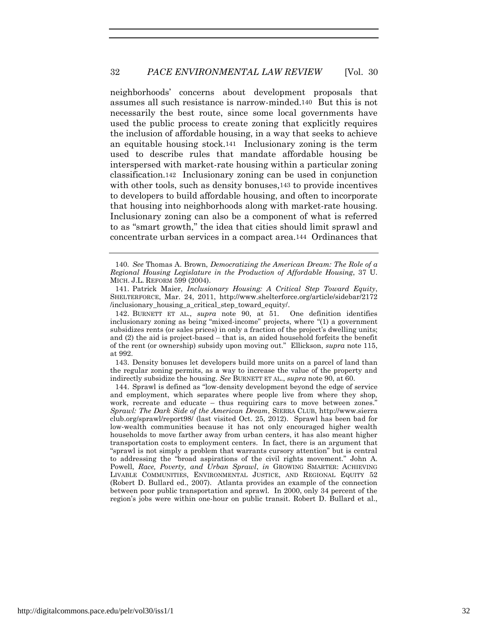neighborhoods' concerns about development proposals that assumes all such resistance is narrow-minded.140 But this is not necessarily the best route, since some local governments have used the public process to create zoning that explicitly requires the inclusion of affordable housing, in a way that seeks to achieve an equitable housing stock.141 Inclusionary zoning is the term used to describe rules that mandate affordable housing be interspersed with market-rate housing within a particular zoning classification.142 Inclusionary zoning can be used in conjunction with other tools, such as density bonuses, 143 to provide incentives to developers to build affordable housing, and often to incorporate that housing into neighborhoods along with market-rate housing. Inclusionary zoning can also be a component of what is referred to as "smart growth," the idea that cities should limit sprawl and concentrate urban services in a compact area.144 Ordinances that

142. BURNETT ET AL., *supra* note 90, at 51. One definition identifies inclusionary zoning as being "mixed-income" projects, where "(1) a government subsidizes rents (or sales prices) in only a fraction of the project's dwelling units; and (2) the aid is project-based – that is, an aided household forfeits the benefit of the rent (or ownership) subsidy upon moving out." Ellickson, *supra* note 115, at 992.

143. Density bonuses let developers build more units on a parcel of land than the regular zoning permits, as a way to increase the value of the property and indirectly subsidize the housing. *See* BURNETT ET AL., *supra* note 90, at 60.

144. Sprawl is defined as "low-density development beyond the edge of service and employment, which separates where people live from where they shop, work, recreate and educate – thus requiring cars to move between zones." *Sprawl: The Dark Side of the American Dream*, SIERRA CLUB, http://www.sierra club.org/sprawl/report98/ (last visited Oct. 25, 2012). Sprawl has been bad for low-wealth communities because it has not only encouraged higher wealth households to move farther away from urban centers, it has also meant higher transportation costs to employment centers. In fact, there is an argument that "sprawl is not simply a problem that warrants cursory attention" but is central to addressing the "broad aspirations of the civil rights movement." John A. Powell, *Race, Poverty, and Urban Sprawl*, *in* GROWING SMARTER: ACHIEVING LIVABLE COMMUNITIES, ENVIRONMENTAL JUSTICE, AND REGIONAL EQUITY 52 (Robert D. Bullard ed., 2007). Atlanta provides an example of the connection between poor public transportation and sprawl. In 2000, only 34 percent of the region's jobs were within one-hour on public transit. Robert D. Bullard et al.,

<sup>140</sup>*. See* Thomas A. Brown, *Democratizing the American Dream: The Role of a Regional Housing Legislature in the Production of Affordable Housing*, 37 U. MICH. J.L. REFORM 599 (2004).

<sup>141.</sup> Patrick Maier, *Inclusionary Housing: A Critical Step Toward Equity*, SHELTERFORCE, Mar. 24, 2011, http://www.shelterforce.org/article/sidebar/2172 /inclusionary\_housing\_a\_critical\_step\_toward\_equity/.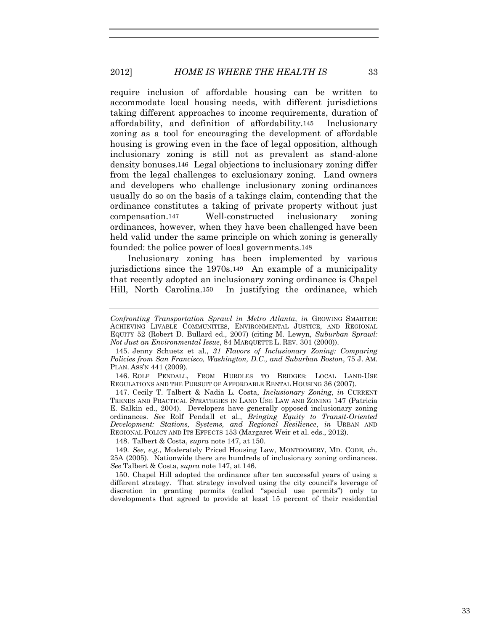require inclusion of affordable housing can be written to accommodate local housing needs, with different jurisdictions taking different approaches to income requirements, duration of affordability, and definition of affordability.145 Inclusionary zoning as a tool for encouraging the development of affordable housing is growing even in the face of legal opposition, although inclusionary zoning is still not as prevalent as stand-alone density bonuses.146 Legal objections to inclusionary zoning differ from the legal challenges to exclusionary zoning. Land owners and developers who challenge inclusionary zoning ordinances usually do so on the basis of a takings claim, contending that the ordinance constitutes a taking of private property without just compensation.147 Well-constructed inclusionary zoning ordinances, however, when they have been challenged have been held valid under the same principle on which zoning is generally founded: the police power of local governments.148

Inclusionary zoning has been implemented by various jurisdictions since the 1970s.149 An example of a municipality that recently adopted an inclusionary zoning ordinance is Chapel Hill, North Carolina.150 In justifying the ordinance, which

148. Talbert & Costa, *supra* note 147, at 150.

150. Chapel Hill adopted the ordinance after ten successful years of using a different strategy. That strategy involved using the city council's leverage of discretion in granting permits (called "special use permits") only to developments that agreed to provide at least 15 percent of their residential

*Confronting Transportation Sprawl in Metro Atlanta*, *in* GROWING SMARTER: ACHIEVING LIVABLE COMMUNITIES, ENVIRONMENTAL JUSTICE, AND REGIONAL EQUITY 52 (Robert D. Bullard ed., 2007) (citing M. Lewyn, *Suburban Sprawl: Not Just an Environmental Issue*, 84 MARQUETTE L. REV. 301 (2000)).

<sup>145.</sup> Jenny Schuetz et al., *31 Flavors of Inclusionary Zoning: Comparing Policies from San Francisco, Washington, D.C., and Suburban Boston*, 75 J. AM. PLAN. ASS'N 441 (2009).

<sup>146.</sup> ROLF PENDALL, FROM HURDLES TO BRIDGES: LOCAL LAND-USE REGULATIONS AND THE PURSUIT OF AFFORDABLE RENTAL HOUSING 36 (2007).

<sup>147.</sup> Cecily T. Talbert & Nadia L. Costa, *Inclusionary Zoning*, *in* CURRENT TRENDS AND PRACTICAL STRATEGIES IN LAND USE LAW AND ZONING 147 (Patricia E. Salkin ed., 2004). Developers have generally opposed inclusionary zoning ordinances. *See* Rolf Pendall et al., *Bringing Equity to Transit-Oriented Development: Stations, Systems, and Regional Resilience*, *in* URBAN AND REGIONAL POLICY AND ITS EFFECTS 153 (Margaret Weir et al. eds., 2012).

<sup>149</sup>*. See, e.g.*, Moderately Priced Housing Law, MONTGOMERY, MD. CODE, ch. 25A (2005). Nationwide there are hundreds of inclusionary zoning ordinances. *See* Talbert & Costa, *supra* note 147, at 146.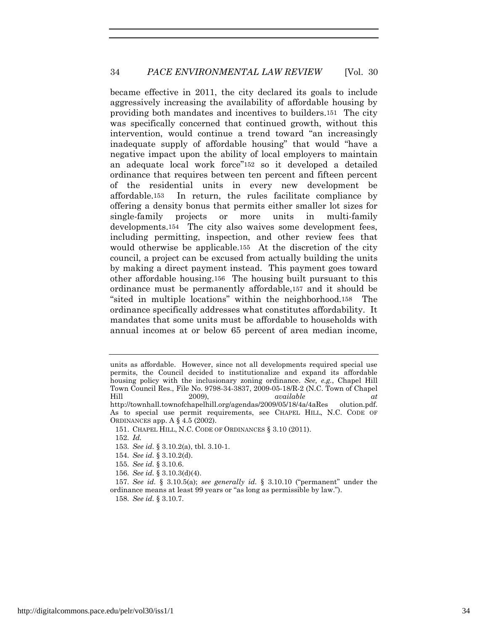became effective in 2011, the city declared its goals to include aggressively increasing the availability of affordable housing by providing both mandates and incentives to builders.151 The city was specifically concerned that continued growth, without this intervention, would continue a trend toward "an increasingly inadequate supply of affordable housing" that would "have a negative impact upon the ability of local employers to maintain an adequate local work force"152 so it developed a detailed ordinance that requires between ten percent and fifteen percent of the residential units in every new development be affordable.153 In return, the rules facilitate compliance by offering a density bonus that permits either smaller lot sizes for single-family projects or more units in multi-family developments.154 The city also waives some development fees, including permitting, inspection, and other review fees that would otherwise be applicable.155 At the discretion of the city council, a project can be excused from actually building the units by making a direct payment instead. This payment goes toward other affordable housing.156 The housing built pursuant to this ordinance must be permanently affordable,157 and it should be "sited in multiple locations" within the neighborhood.158 The ordinance specifically addresses what constitutes affordability. It mandates that some units must be affordable to households with annual incomes at or below 65 percent of area median income,

- 153*. See id.* § 3.10.2(a), tbl. 3.10-1.
- 154*. See id.* § 3.10.2(d).
- 155*. See id.* § 3.10.6.
- 156*. See id.* § 3.10.3(d)(4).

units as affordable. However, since not all developments required special use permits, the Council decided to institutionalize and expand its affordable housing policy with the inclusionary zoning ordinance. *See, e.g.*, Chapel Hill Town Council Res., File No. 9798-34-3837, 2009-05-18/R-2 (N.C. Town of Chapel Hill 2009), *available at*  http://townhall.townofchapelhill.org/agendas/2009/05/18/4a/4aRes olution.pdf. As to special use permit requirements, see CHAPEL HILL, N.C. CODE OF ORDINANCES app. A § 4.5 (2002).

<sup>151.</sup> CHAPEL HILL, N.C. CODE OF ORDINANCES § 3.10 (2011).

<sup>152</sup>*. Id.*

<sup>157</sup>*. See id.* § 3.10.5(a); *see generally id.* § 3.10.10 ("permanent" under the ordinance means at least 99 years or "as long as permissible by law.").

<sup>158</sup>*. See id.* § 3.10.7.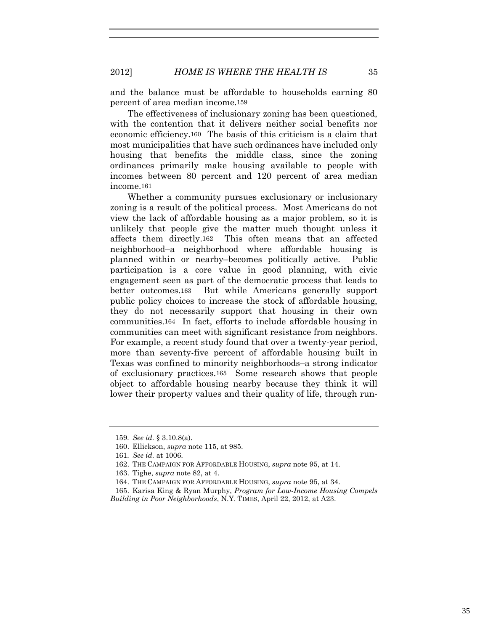and the balance must be affordable to households earning 80 percent of area median income.159

The effectiveness of inclusionary zoning has been questioned, with the contention that it delivers neither social benefits nor economic efficiency.160 The basis of this criticism is a claim that most municipalities that have such ordinances have included only housing that benefits the middle class, since the zoning ordinances primarily make housing available to people with incomes between 80 percent and 120 percent of area median income.161

Whether a community pursues exclusionary or inclusionary zoning is a result of the political process. Most Americans do not view the lack of affordable housing as a major problem, so it is unlikely that people give the matter much thought unless it affects them directly.162 This often means that an affected neighborhood–a neighborhood where affordable housing is planned within or nearby–becomes politically active. Public participation is a core value in good planning, with civic engagement seen as part of the democratic process that leads to better outcomes.163 But while Americans generally support public policy choices to increase the stock of affordable housing, they do not necessarily support that housing in their own communities.164 In fact, efforts to include affordable housing in communities can meet with significant resistance from neighbors. For example, a recent study found that over a twenty-year period, more than seventy-five percent of affordable housing built in Texas was confined to minority neighborhoods–a strong indicator of exclusionary practices.165 Some research shows that people object to affordable housing nearby because they think it will lower their property values and their quality of life, through run-

<sup>159</sup>*. See id.* § 3.10.8(a).

<sup>160.</sup> Ellickson, *supra* note 115, at 985.

<sup>161</sup>*. See id.* at 1006.

<sup>162.</sup> THE CAMPAIGN FOR AFFORDABLE HOUSING, *supra* note 95, at 14.

<sup>163.</sup> Tighe, *supra* note 82, at 4.

<sup>164.</sup> THE CAMPAIGN FOR AFFORDABLE HOUSING, *supra* note 95, at 34.

<sup>165.</sup> Karisa King & Ryan Murphy, *Program for Low-Income Housing Compels Building in Poor Neighborhoods*, N.Y. TIMES, April 22, 2012, at A23.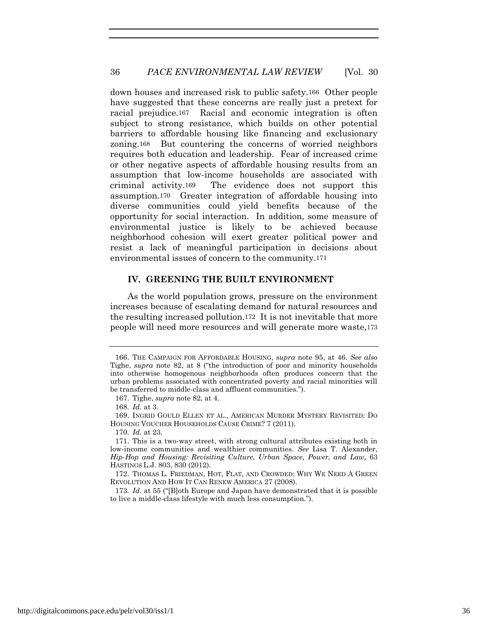down houses and increased risk to public safety.166 Other people have suggested that these concerns are really just a pretext for racial prejudice.167 Racial and economic integration is often subject to strong resistance, which builds on other potential barriers to affordable housing like financing and exclusionary zoning.168 But countering the concerns of worried neighbors requires both education and leadership. Fear of increased crime or other negative aspects of affordable housing results from an assumption that low-income households are associated with criminal activity.169 The evidence does not support this assumption.170 Greater integration of affordable housing into diverse communities could yield benefits because of the opportunity for social interaction. In addition, some measure of environmental justice is likely to be achieved because neighborhood cohesion will exert greater political power and resist a lack of meaningful participation in decisions about environmental issues of concern to the community.171

## **IV. GREENING THE BUILT ENVIRONMENT**

As the world population grows, pressure on the environment increases because of escalating demand for natural resources and the resulting increased pollution.172 It is not inevitable that more people will need more resources and will generate more waste,173

<sup>166.</sup> THE CAMPAIGN FOR AFFORDABLE HOUSING, *supra* note 95, at 46. *See also*  Tighe, *supra* note 82, at 8 ("the introduction of poor and minority households into otherwise homogenous neighborhoods often produces concern that the urban problems associated with concentrated poverty and racial minorities will be transferred to middle-class and affluent communities.").

<sup>167.</sup> Tighe, *supra* note 82, at 4.

<sup>168</sup>*. Id.* at 3.

<sup>169.</sup> INGRID GOULD ELLEN ET AL., AMERICAN MURDER MYSTERY REVISITED: DO HOUSING VOUCHER HOUSEHOLDS CAUSE CRIME? 7 (2011).

<sup>170</sup>*. Id.* at 23.

<sup>171.</sup> This is a two-way street, with strong cultural attributes existing both in low-income communities and wealthier communities. *See* Lisa T. Alexander, *Hip-Hop and Housing: Revisiting Culture, Urban Space, Power, and Law,* 63 HASTINGS L.J. 803, 830 (2012).

<sup>172.</sup> THOMAS L. FRIEDMAN, HOT, FLAT, AND CROWDED: WHY WE NEED A GREEN REVOLUTION AND HOW IT CAN RENEW AMERICA 27 (2008).

<sup>173</sup>*. Id.* at 55 ("[B]oth Europe and Japan have demonstrated that it is possible to live a middle-class lifestyle with much less consumption.").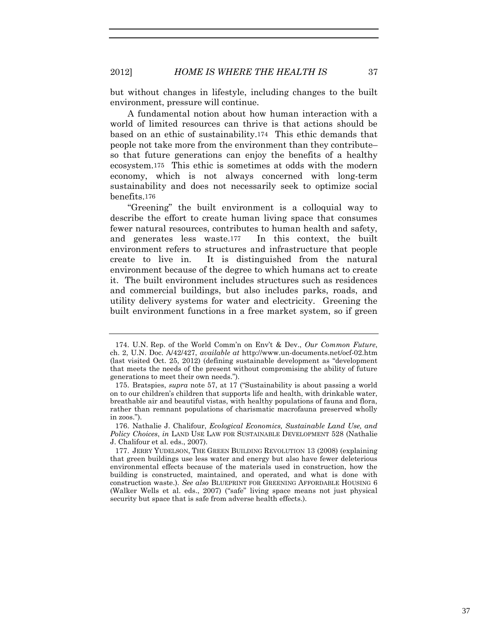but without changes in lifestyle, including changes to the built environment, pressure will continue.

A fundamental notion about how human interaction with a world of limited resources can thrive is that actions should be based on an ethic of sustainability.174 This ethic demands that people not take more from the environment than they contribute– so that future generations can enjoy the benefits of a healthy ecosystem.175 This ethic is sometimes at odds with the modern economy, which is not always concerned with long-term sustainability and does not necessarily seek to optimize social benefits.176

"Greening" the built environment is a colloquial way to describe the effort to create human living space that consumes fewer natural resources, contributes to human health and safety, and generates less waste.177 In this context, the built environment refers to structures and infrastructure that people create to live in. It is distinguished from the natural environment because of the degree to which humans act to create it. The built environment includes structures such as residences and commercial buildings, but also includes parks, roads, and utility delivery systems for water and electricity. Greening the built environment functions in a free market system, so if green

<sup>174.</sup> U.N. Rep. of the World Comm'n on Env't & Dev., *Our Common Future*, ch. 2, U.N. Doc. A/42/427, *available at* http://www.un-documents.net/ocf-02.htm (last visited Oct. 25, 2012) (defining sustainable development as "development that meets the needs of the present without compromising the ability of future generations to meet their own needs.").

<sup>175.</sup> Bratspies, *supra* note 57, at 17 ("Sustainability is about passing a world on to our children's children that supports life and health, with drinkable water, breathable air and beautiful vistas, with healthy populations of fauna and flora, rather than remnant populations of charismatic macrofauna preserved wholly in zoos.").

<sup>176.</sup> Nathalie J. Chalifour, *Ecological Economics, Sustainable Land Use, and Policy Choices*, *in* LAND USE LAW FOR SUSTAINABLE DEVELOPMENT 528 (Nathalie J. Chalifour et al. eds., 2007).

<sup>177.</sup> JERRY YUDELSON, THE GREEN BUILDING REVOLUTION 13 (2008) (explaining that green buildings use less water and energy but also have fewer deleterious environmental effects because of the materials used in construction, how the building is constructed, maintained, and operated, and what is done with construction waste.). *See also* BLUEPRINT FOR GREENING AFFORDABLE HOUSING 6 (Walker Wells et al. eds., 2007) ("safe" living space means not just physical security but space that is safe from adverse health effects.).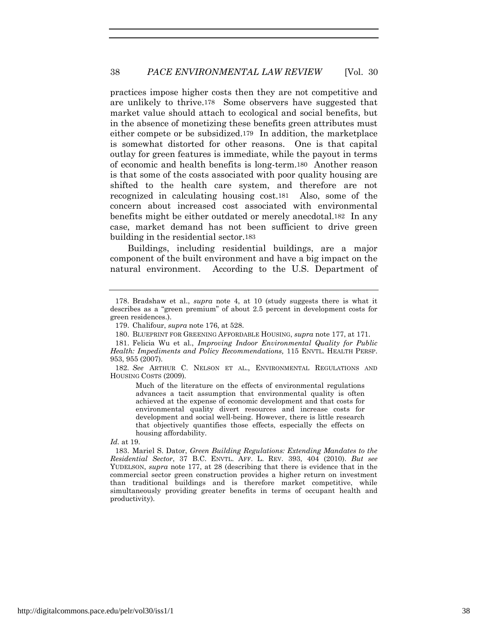practices impose higher costs then they are not competitive and are unlikely to thrive.178 Some observers have suggested that market value should attach to ecological and social benefits, but in the absence of monetizing these benefits green attributes must either compete or be subsidized.179 In addition, the marketplace is somewhat distorted for other reasons. One is that capital outlay for green features is immediate, while the payout in terms of economic and health benefits is long-term.180 Another reason is that some of the costs associated with poor quality housing are shifted to the health care system, and therefore are not recognized in calculating housing cost.181 Also, some of the concern about increased cost associated with environmental benefits might be either outdated or merely anecdotal.182 In any case, market demand has not been sufficient to drive green building in the residential sector.183

Buildings, including residential buildings, are a major component of the built environment and have a big impact on the natural environment. According to the U.S. Department of

Much of the literature on the effects of environmental regulations advances a tacit assumption that environmental quality is often achieved at the expense of economic development and that costs for environmental quality divert resources and increase costs for development and social well-being. However, there is little research that objectively quantifies those effects, especially the effects on housing affordability.

<sup>178.</sup> Bradshaw et al., *supra* note 4, at 10 (study suggests there is what it describes as a "green premium" of about 2.5 percent in development costs for green residences.).

<sup>179.</sup> Chalifour, *supra* note 176, at 528.

<sup>180.</sup> BLUEPRINT FOR GREENING AFFORDABLE HOUSING, *supra* note 177, at 171.

<sup>181.</sup> Felicia Wu et al., *Improving Indoor Environmental Quality for Public Health: Impediments and Policy Recommendations,* 115 ENVTL. HEALTH PERSP. 953, 955 (2007).

<sup>182</sup>*. See* ARTHUR C. NELSON ET AL., ENVIRONMENTAL REGULATIONS AND HOUSING COSTS (2009).

*Id.* at 19.

<sup>183.</sup> Mariel S. Dator, *Green Building Regulations: Extending Mandates to the Residential Sector*, 37 B.C. ENVTL. AFF. L. REV. 393, 404 (2010). *But see* YUDELSON, *supra* note 177, at 28 (describing that there is evidence that in the commercial sector green construction provides a higher return on investment than traditional buildings and is therefore market competitive, while simultaneously providing greater benefits in terms of occupant health and productivity).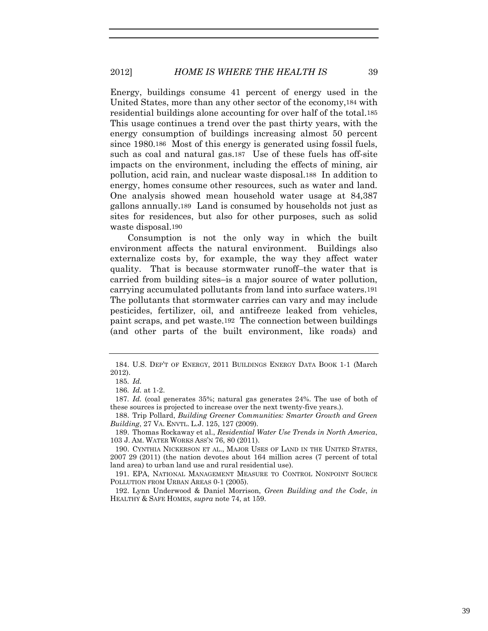Energy, buildings consume 41 percent of energy used in the United States, more than any other sector of the economy,184 with residential buildings alone accounting for over half of the total.185 This usage continues a trend over the past thirty years, with the energy consumption of buildings increasing almost 50 percent since 1980.186 Most of this energy is generated using fossil fuels, such as coal and natural gas.187 Use of these fuels has off-site impacts on the environment, including the effects of mining, air pollution, acid rain, and nuclear waste disposal.188 In addition to energy, homes consume other resources, such as water and land. One analysis showed mean household water usage at 84,387 gallons annually.189 Land is consumed by households not just as sites for residences, but also for other purposes, such as solid waste disposal.190

Consumption is not the only way in which the built environment affects the natural environment. Buildings also externalize costs by, for example, the way they affect water quality. That is because stormwater runoff–the water that is carried from building sites–is a major source of water pollution, carrying accumulated pollutants from land into surface waters.191 The pollutants that stormwater carries can vary and may include pesticides, fertilizer, oil, and antifreeze leaked from vehicles, paint scraps, and pet waste.192 The connection between buildings (and other parts of the built environment, like roads) and

<sup>184.</sup> U.S. DEP'T OF ENERGY, 2011 BUILDINGS ENERGY DATA BOOK 1-1 (March 2012).

<sup>185</sup>*. Id.*

<sup>186</sup>*. Id.* at 1-2.

<sup>187</sup>*. Id.* (coal generates 35%; natural gas generates 24%. The use of both of these sources is projected to increase over the next twenty-five years.).

<sup>188.</sup> Trip Pollard, *Building Greener Communities: Smarter Growth and Green Building*, 27 VA. ENVTL. L.J. 125, 127 (2009).

<sup>189.</sup> Thomas Rockaway et al., *Residential Water Use Trends in North America*, 103 J. AM. WATER WORKS ASS'N 76, 80 (2011).

<sup>190.</sup> CYNTHIA NICKERSON ET AL., MAJOR USES OF LAND IN THE UNITED STATES, 2007 29 (2011) (the nation devotes about 164 million acres (7 percent of total land area) to urban land use and rural residential use).

<sup>191.</sup> EPA, NATIONAL MANAGEMENT MEASURE TO CONTROL NONPOINT SOURCE POLLUTION FROM URBAN AREAS 0-1 (2005).

<sup>192.</sup> Lynn Underwood & Daniel Morrison, *Green Building and the Code*, *in* HEALTHY & SAFE HOMES, *supra* note 74, at 159.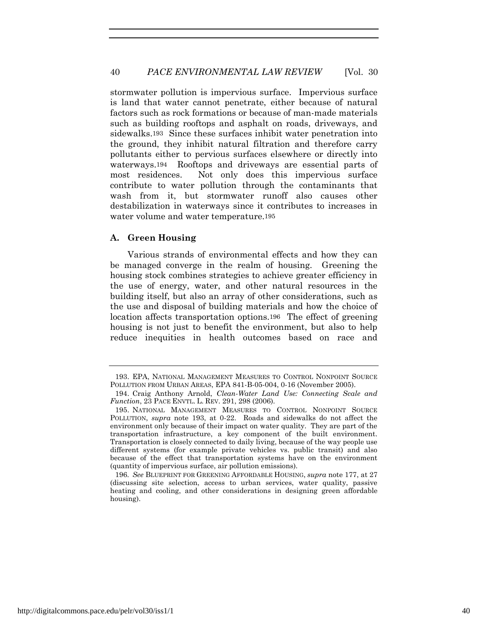stormwater pollution is impervious surface. Impervious surface is land that water cannot penetrate, either because of natural factors such as rock formations or because of man-made materials such as building rooftops and asphalt on roads, driveways, and sidewalks.193 Since these surfaces inhibit water penetration into the ground, they inhibit natural filtration and therefore carry pollutants either to pervious surfaces elsewhere or directly into waterways.194 Rooftops and driveways are essential parts of most residences. Not only does this impervious surface contribute to water pollution through the contaminants that wash from it, but stormwater runoff also causes other destabilization in waterways since it contributes to increases in water volume and water temperature.195

# **A. Green Housing**

Various strands of environmental effects and how they can be managed converge in the realm of housing. Greening the housing stock combines strategies to achieve greater efficiency in the use of energy, water, and other natural resources in the building itself, but also an array of other considerations, such as the use and disposal of building materials and how the choice of location affects transportation options.196 The effect of greening housing is not just to benefit the environment, but also to help reduce inequities in health outcomes based on race and

196*. See* BLUEPRINT FOR GREENING AFFORDABLE HOUSING, *supra* note 177, at 27 (discussing site selection, access to urban services, water quality, passive heating and cooling, and other considerations in designing green affordable housing).

<sup>193.</sup> EPA, NATIONAL MANAGEMENT MEASURES TO CONTROL NONPOINT SOURCE POLLUTION FROM URBAN AREAS, EPA 841-B-05-004, 0-16 (November 2005).

<sup>194.</sup> Craig Anthony Arnold, *Clean-Water Land Use: Connecting Scale and Function*, 23 PACE ENVTL. L. REV. 291, 298 (2006).

<sup>195.</sup> NATIONAL MANAGEMENT MEASURES TO CONTROL NONPOINT SOURCE POLLUTION, *supra* note 193, at 0-22. Roads and sidewalks do not affect the environment only because of their impact on water quality. They are part of the transportation infrastructure, a key component of the built environment. Transportation is closely connected to daily living, because of the way people use different systems (for example private vehicles vs. public transit) and also because of the effect that transportation systems have on the environment (quantity of impervious surface, air pollution emissions).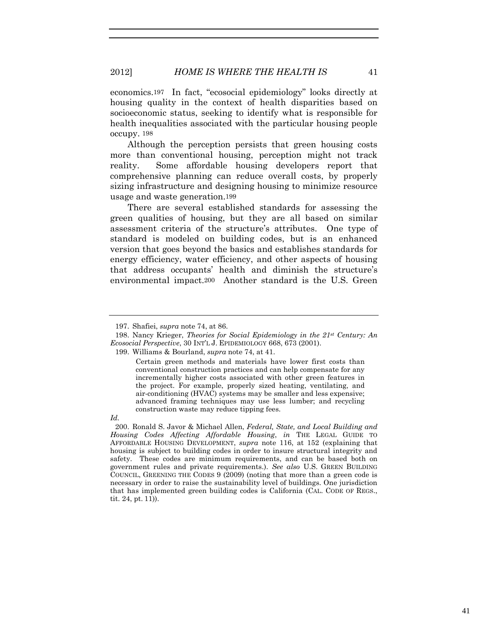economics.197 In fact, "ecosocial epidemiology" looks directly at housing quality in the context of health disparities based on socioeconomic status, seeking to identify what is responsible for health inequalities associated with the particular housing people occupy. 198

Although the perception persists that green housing costs more than conventional housing, perception might not track reality. Some affordable housing developers report that comprehensive planning can reduce overall costs, by properly sizing infrastructure and designing housing to minimize resource usage and waste generation.199

There are several established standards for assessing the green qualities of housing, but they are all based on similar assessment criteria of the structure's attributes. One type of standard is modeled on building codes, but is an enhanced version that goes beyond the basics and establishes standards for energy efficiency, water efficiency, and other aspects of housing that address occupants' health and diminish the structure's environmental impact.200 Another standard is the U.S. Green

<sup>197.</sup> Shafiei, *supra* note 74, at 86.

<sup>198.</sup> Nancy Krieger, *Theories for Social Epidemiology in the 21st Century: An Ecosocial Perspective*, 30 INT'L J. EPIDEMIOLOGY 668, 673 (2001).

<sup>199.</sup> Williams & Bourland, *supra* note 74, at 41.

Certain green methods and materials have lower first costs than conventional construction practices and can help compensate for any incrementally higher costs associated with other green features in the project. For example, properly sized heating, ventilating, and air-conditioning (HVAC) systems may be smaller and less expensive; advanced framing techniques may use less lumber; and recycling construction waste may reduce tipping fees.

*Id.*

<sup>200.</sup> Ronald S. Javor & Michael Allen, *Federal, State, and Local Building and Housing Codes Affecting Affordable Housing*, *in* THE LEGAL GUIDE TO AFFORDABLE HOUSING DEVELOPMENT, *supra* note 116, at 152 (explaining that housing is subject to building codes in order to insure structural integrity and safety. These codes are minimum requirements, and can be based both on government rules and private requirements.). *See also* U.S. GREEN BUILDING COUNCIL, GREENING THE CODES 9 (2009) (noting that more than a green code is necessary in order to raise the sustainability level of buildings. One jurisdiction that has implemented green building codes is California (CAL. CODE OF REGS., tit. 24, pt. 11)).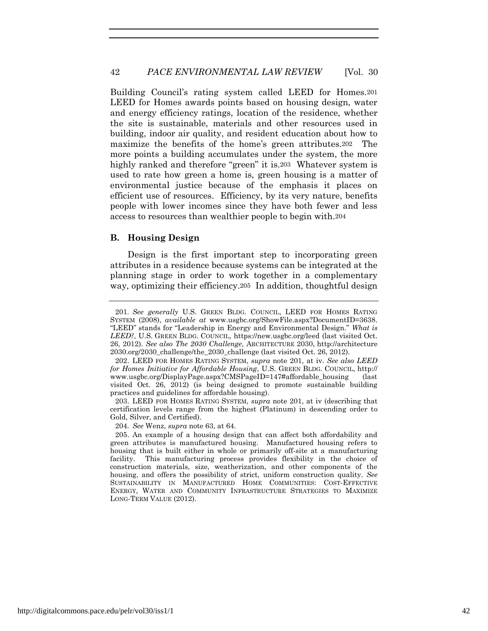Building Council's rating system called LEED for Homes.201 LEED for Homes awards points based on housing design, water and energy efficiency ratings, location of the residence, whether the site is sustainable, materials and other resources used in building, indoor air quality, and resident education about how to maximize the benefits of the home's green attributes.202 The more points a building accumulates under the system, the more highly ranked and therefore "green" it is.203 Whatever system is used to rate how green a home is, green housing is a matter of environmental justice because of the emphasis it places on efficient use of resources. Efficiency, by its very nature, benefits people with lower incomes since they have both fewer and less access to resources than wealthier people to begin with.204

# **B. Housing Design**

Design is the first important step to incorporating green attributes in a residence because systems can be integrated at the planning stage in order to work together in a complementary way, optimizing their efficiency.205 In addition, thoughtful design

203. LEED FOR HOMES RATING SYSTEM, *supra* note 201, at iv (describing that certification levels range from the highest (Platinum) in descending order to Gold, Silver, and Certified).

204*. See* Wenz, *supra* note 63, at 64.

<sup>201</sup>*. See generally* U.S. GREEN BLDG. COUNCIL, LEED FOR HOMES RATING SYSTEM (2008), *available at* www.usgbc.org/ShowFile.aspx?DocumentID=3638. "LEED" stands for "Leadership in Energy and Environmental Design." *What is LEED?*, U.S. GREEN BLDG. COUNCIL, https://new.usgbc.org/leed (last visited Oct. 26, 2012). *See also The 2030 Challenge*, ARCHITECTURE 2030, http://architecture 2030.org/2030\_challenge/the\_2030\_challenge (last visited Oct. 26, 2012).

<sup>202.</sup> LEED FOR HOMES RATING SYSTEM, *supra* note 201, at iv. *See also LEED for Homes Initiative for Affordable Housing*, U.S. GREEN BLDG. COUNCIL, http:// www.usgbc.org/DisplayPage.aspx?CMSPageID=147#affordable\_housing (last visited Oct. 26, 2012) (is being designed to promote sustainable building practices and guidelines for affordable housing).

<sup>205.</sup> An example of a housing design that can affect both affordability and green attributes is manufactured housing. Manufactured housing refers to housing that is built either in whole or primarily off-site at a manufacturing facility. This manufacturing process provides flexibility in the choice of construction materials, size, weatherization, and other components of the housing, and offers the possibility of strict, uniform construction quality. *See* SUSTAINABILITY IN MANUFACTURED HOME COMMUNITIES: COST-EFFECTIVE ENERGY, WATER AND COMMUNITY INFRASTRUCTURE STRATEGIES TO MAXIMIZE LONG-TERM VALUE (2012).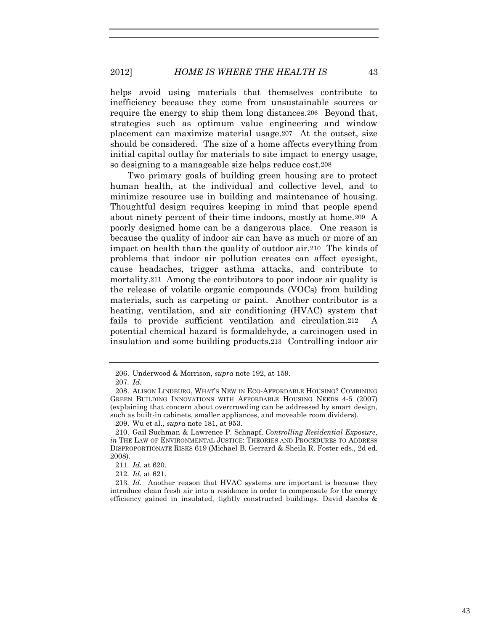2012] *HOME IS WHERE THE HEALTH IS* 43

helps avoid using materials that themselves contribute to inefficiency because they come from unsustainable sources or require the energy to ship them long distances.206 Beyond that, strategies such as optimum value engineering and window placement can maximize material usage.207 At the outset, size should be considered. The size of a home affects everything from initial capital outlay for materials to site impact to energy usage, so designing to a manageable size helps reduce cost.208

Two primary goals of building green housing are to protect human health, at the individual and collective level, and to minimize resource use in building and maintenance of housing. Thoughtful design requires keeping in mind that people spend about ninety percent of their time indoors, mostly at home.209 A poorly designed home can be a dangerous place. One reason is because the quality of indoor air can have as much or more of an impact on health than the quality of outdoor air.210 The kinds of problems that indoor air pollution creates can affect eyesight, cause headaches, trigger asthma attacks, and contribute to mortality.211 Among the contributors to poor indoor air quality is the release of volatile organic compounds (VOCs) from building materials, such as carpeting or paint. Another contributor is a heating, ventilation, and air conditioning (HVAC) system that fails to provide sufficient ventilation and circulation.212 A potential chemical hazard is formaldehyde, a carcinogen used in insulation and some building products.213 Controlling indoor air

<sup>206.</sup> Underwood & Morrison, *supra* note 192, at 159.

<sup>207</sup>*. Id.*

<sup>208.</sup> ALISON LINDBURG, WHAT'S NEW IN ECO-AFFORDABLE HOUSING? COMBINING GREEN BUILDING INNOVATIONS WITH AFFORDABLE HOUSING NEEDS 4-5 (2007) (explaining that concern about overcrowding can be addressed by smart design, such as built-in cabinets, smaller appliances, and moveable room dividers).

<sup>209.</sup> Wu et al., *supra* note 181, at 953.

<sup>210.</sup> Gail Suchman & Lawrence P. Schnapf, *Controlling Residential Exposure*, *in* THE LAW OF ENVIRONMENTAL JUSTICE: THEORIES AND PROCEDURES TO ADDRESS DISPROPORTIONATE RISKS 619 (Michael B. Gerrard & Sheila R. Foster eds., 2d ed. 2008).

<sup>211</sup>*. Id.* at 620.

<sup>212</sup>*. Id.* at 621.

<sup>213</sup>*. Id.* Another reason that HVAC systems are important is because they introduce clean fresh air into a residence in order to compensate for the energy efficiency gained in insulated, tightly constructed buildings. David Jacobs &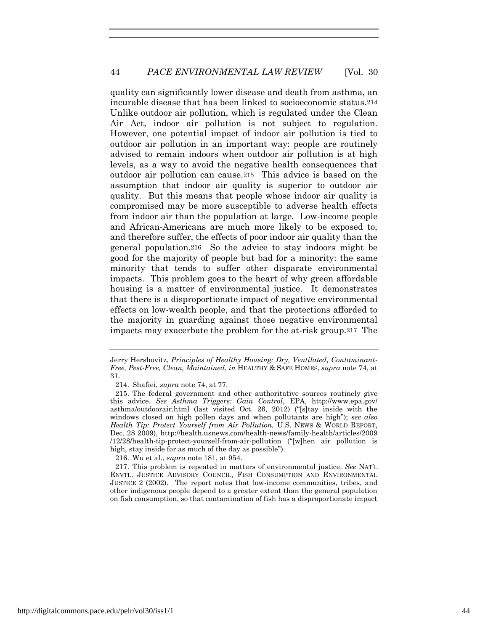quality can significantly lower disease and death from asthma, an incurable disease that has been linked to socioeconomic status.214 Unlike outdoor air pollution, which is regulated under the Clean Air Act, indoor air pollution is not subject to regulation. However, one potential impact of indoor air pollution is tied to outdoor air pollution in an important way: people are routinely advised to remain indoors when outdoor air pollution is at high levels, as a way to avoid the negative health consequences that outdoor air pollution can cause.215 This advice is based on the assumption that indoor air quality is superior to outdoor air quality. But this means that people whose indoor air quality is compromised may be more susceptible to adverse health effects from indoor air than the population at large. Low-income people and African-Americans are much more likely to be exposed to, and therefore suffer, the effects of poor indoor air quality than the general population.216 So the advice to stay indoors might be good for the majority of people but bad for a minority: the same minority that tends to suffer other disparate environmental impacts. This problem goes to the heart of why green affordable housing is a matter of environmental justice. It demonstrates that there is a disproportionate impact of negative environmental effects on low-wealth people, and that the protections afforded to the majority in guarding against those negative environmental impacts may exacerbate the problem for the at-risk group.217 The

216. Wu et al., *supra* note 181, at 954.

Jerry Hershovitz, *Principles of Healthy Housing: Dry, Ventilated, Contaminant-Free, Pest-Free, Clean, Maintained*, *in* HEALTHY & SAFE HOMES, *supra* note 74, at 31.

<sup>214.</sup> Shafiei, *supra* note 74, at 77.

<sup>215.</sup> The federal government and other authoritative sources routinely give this advice. *See Asthma Triggers: Gain Control*, EPA, http://www.epa.gov/ asthma/outdoorair.html (last visited Oct. 26, 2012) ("[s]tay inside with the windows closed on high pollen days and when pollutants are high"); *see also Health Tip: Protect Yourself from Air Pollution,* U.S. NEWS & WORLD REPORT, Dec. 28 2009), http://health.usnews.com/health-news/family-health/articles/2009 /12/28/health-tip-protect-yourself-from-air-pollution ("[w]hen air pollution is high, stay inside for as much of the day as possible").

<sup>217.</sup> This problem is repeated in matters of environmental justice. *See* NAT'L ENVTL. JUSTICE ADVISORY COUNCIL, FISH CONSUMPTION AND ENVIRONMENTAL JUSTICE 2 (2002). The report notes that low-income communities, tribes, and other indigenous people depend to a greater extent than the general population on fish consumption, so that contamination of fish has a disproportionate impact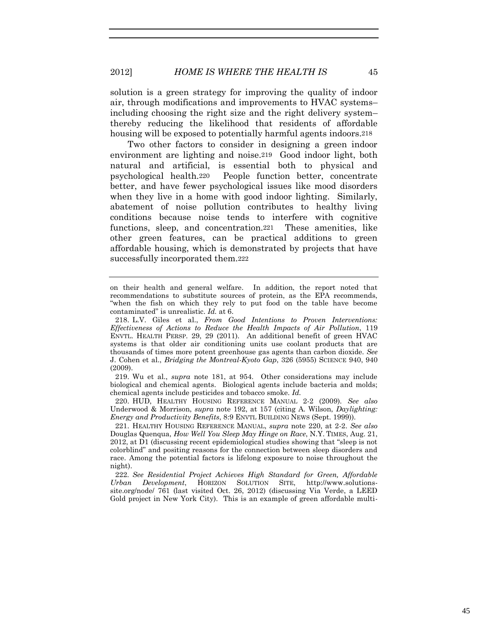solution is a green strategy for improving the quality of indoor air, through modifications and improvements to HVAC systems– including choosing the right size and the right delivery system– thereby reducing the likelihood that residents of affordable housing will be exposed to potentially harmful agents indoors.<sup>218</sup>

Two other factors to consider in designing a green indoor environment are lighting and noise.219 Good indoor light, both natural and artificial, is essential both to physical and psychological health.220 People function better, concentrate better, and have fewer psychological issues like mood disorders when they live in a home with good indoor lighting. Similarly, abatement of noise pollution contributes to healthy living conditions because noise tends to interfere with cognitive functions, sleep, and concentration.221 These amenities, like other green features, can be practical additions to green affordable housing, which is demonstrated by projects that have successfully incorporated them.222

219. Wu et al., *supra* note 181, at 954. Other considerations may include biological and chemical agents. Biological agents include bacteria and molds; chemical agents include pesticides and tobacco smoke. *Id.*

220. HUD, HEALTHY HOUSING REFERENCE MANUAL 2-2 (2009). *See also* Underwood & Morrison, *supra* note 192, at 157 (citing A. Wilson, *Daylighting: Energy and Productivity Benefits*, 8:9 ENVTL BUILDING NEWS (Sept. 1999)).

221. HEALTHY HOUSING REFERENCE MANUAL, *supra* note 220, at 2-2. *See also* Douglas Quenqua, *How Well You Sleep May Hinge on Race*, N.Y. TIMES, Aug. 21, 2012, at D1 (discussing recent epidemiological studies showing that "sleep is not colorblind" and positing reasons for the connection between sleep disorders and race. Among the potential factors is lifelong exposure to noise throughout the night).

222*. See Residential Project Achieves High Standard for Green, Affordable Urban Development*, HORIZON SOLUTION SITE, http://www.solutionssite.org/node/ 761 (last visited Oct. 26, 2012) (discussing Via Verde, a LEED Gold project in New York City). This is an example of green affordable multi-

on their health and general welfare. In addition, the report noted that recommendations to substitute sources of protein, as the EPA recommends, "when the fish on which they rely to put food on the table have become contaminated" is unrealistic. *Id.* at 6.

<sup>218.</sup> L.V. Giles et al., *From Good Intentions to Proven Interventions: Effectiveness of Actions to Reduce the Health Impacts of Air Pollution*, 119 ENVTL. HEALTH PERSP. 29, 29 (2011). An additional benefit of green HVAC systems is that older air conditioning units use coolant products that are thousands of times more potent greenhouse gas agents than carbon dioxide. *See* J. Cohen et al., *Bridging the Montreal-Kyoto Gap*, 326 (5955) SCIENCE 940, 940 (2009).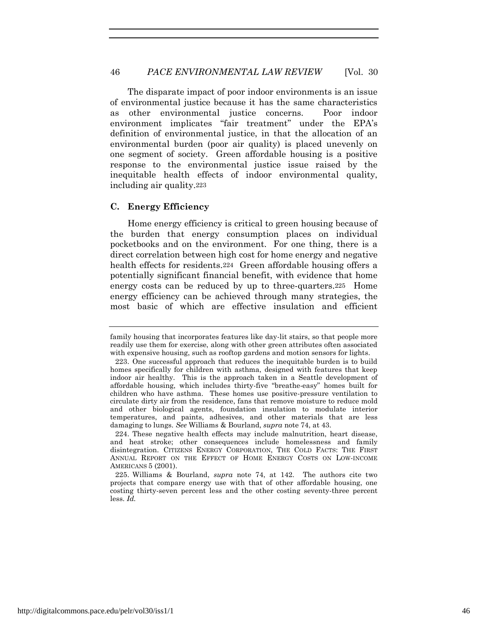The disparate impact of poor indoor environments is an issue of environmental justice because it has the same characteristics as other environmental justice concerns. Poor indoor environment implicates "fair treatment" under the EPA's definition of environmental justice, in that the allocation of an environmental burden (poor air quality) is placed unevenly on one segment of society. Green affordable housing is a positive response to the environmental justice issue raised by the inequitable health effects of indoor environmental quality, including air quality.223

# **C. Energy Efficiency**

Home energy efficiency is critical to green housing because of the burden that energy consumption places on individual pocketbooks and on the environment. For one thing, there is a direct correlation between high cost for home energy and negative health effects for residents.<sup>224</sup> Green affordable housing offers a potentially significant financial benefit, with evidence that home energy costs can be reduced by up to three-quarters.225 Home energy efficiency can be achieved through many strategies, the most basic of which are effective insulation and efficient

family housing that incorporates features like day-lit stairs, so that people more readily use them for exercise, along with other green attributes often associated with expensive housing, such as rooftop gardens and motion sensors for lights.

<sup>223.</sup> One successful approach that reduces the inequitable burden is to build homes specifically for children with asthma, designed with features that keep indoor air healthy. This is the approach taken in a Seattle development of affordable housing, which includes thirty-five "breathe-easy" homes built for children who have asthma. These homes use positive-pressure ventilation to circulate dirty air from the residence, fans that remove moisture to reduce mold and other biological agents, foundation insulation to modulate interior temperatures, and paints, adhesives, and other materials that are less damaging to lungs. *See* Williams & Bourland, *supra* note 74, at 43.

<sup>224.</sup> These negative health effects may include malnutrition, heart disease, and heat stroke; other consequences include homelessness and family disintegration. CITIZENS ENERGY CORPORATION, THE COLD FACTS: THE FIRST ANNUAL REPORT ON THE EFFECT OF HOME ENERGY COSTS ON LOW-INCOME AMERICANS 5 (2001).

<sup>225.</sup> Williams & Bourland, *supra* note 74, at 142. The authors cite two projects that compare energy use with that of other affordable housing, one costing thirty-seven percent less and the other costing seventy-three percent less. *Id.*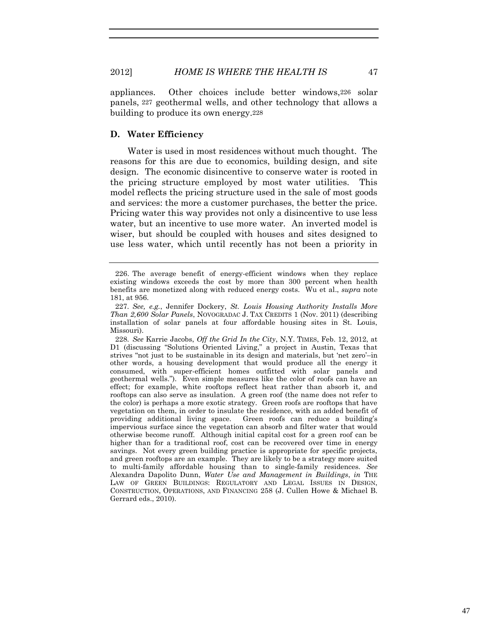appliances. Other choices include better windows,226 solar panels, 227 geothermal wells, and other technology that allows a building to produce its own energy.228

#### **D. Water Efficiency**

Water is used in most residences without much thought. The reasons for this are due to economics, building design, and site design. The economic disincentive to conserve water is rooted in the pricing structure employed by most water utilities. This model reflects the pricing structure used in the sale of most goods and services: the more a customer purchases, the better the price. Pricing water this way provides not only a disincentive to use less water, but an incentive to use more water. An inverted model is wiser, but should be coupled with houses and sites designed to use less water, which until recently has not been a priority in

228*. See* Karrie Jacobs, *Off the Grid In the City*, N.Y. TIMES, Feb. 12, 2012, at D1 (discussing "Solutions Oriented Living," a project in Austin, Texas that strives "not just to be sustainable in its design and materials, but 'net zero'–in other words, a housing development that would produce all the energy it consumed, with super-efficient homes outfitted with solar panels and geothermal wells."). Even simple measures like the color of roofs can have an effect; for example, white rooftops reflect heat rather than absorb it, and rooftops can also serve as insulation. A green roof (the name does not refer to the color) is perhaps a more exotic strategy. Green roofs are rooftops that have vegetation on them, in order to insulate the residence, with an added benefit of providing additional living space. Green roofs can reduce a building's impervious surface since the vegetation can absorb and filter water that would otherwise become runoff. Although initial capital cost for a green roof can be higher than for a traditional roof, cost can be recovered over time in energy savings. Not every green building practice is appropriate for specific projects, and green rooftops are an example. They are likely to be a strategy more suited to multi-family affordable housing than to single-family residences. *See* Alexandra Dapolito Dunn, *Water Use and Management in Buildings*, *in* THE LAW OF GREEN BUILDINGS: REGULATORY AND LEGAL ISSUES IN DESIGN, CONSTRUCTION, OPERATIONS, AND FINANCING 258 (J. Cullen Howe & Michael B. Gerrard eds., 2010).

<sup>226.</sup> The average benefit of energy-efficient windows when they replace existing windows exceeds the cost by more than 300 percent when health benefits are monetized along with reduced energy costs. Wu et al., *supra* note 181, at 956.

<sup>227</sup>*. See, e.g.*, Jennifer Dockery, *St. Louis Housing Authority Installs More Than 2,600 Solar Panels*, NOVOGRADAC J. TAX CREDITS 1 (Nov. 2011) (describing installation of solar panels at four affordable housing sites in St. Louis, Missouri).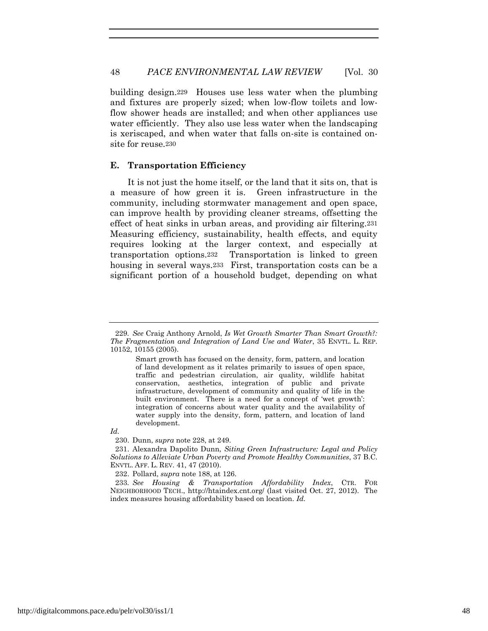building design.229 Houses use less water when the plumbing and fixtures are properly sized; when low-flow toilets and lowflow shower heads are installed; and when other appliances use water efficiently. They also use less water when the landscaping is xeriscaped, and when water that falls on-site is contained onsite for reuse.230

#### **E. Transportation Efficiency**

It is not just the home itself, or the land that it sits on, that is a measure of how green it is. Green infrastructure in the community, including stormwater management and open space, can improve health by providing cleaner streams, offsetting the effect of heat sinks in urban areas, and providing air filtering.231 Measuring efficiency, sustainability, health effects, and equity requires looking at the larger context, and especially at transportation options.232 Transportation is linked to green housing in several ways.233 First, transportation costs can be a significant portion of a household budget, depending on what

*Id.*

<sup>229</sup>*. See* Craig Anthony Arnold, *Is Wet Growth Smarter Than Smart Growth?: The Fragmentation and Integration of Land Use and Water*, 35 ENVTL. L. REP. 10152, 10155 (2005).

Smart growth has focused on the density, form, pattern, and location of land development as it relates primarily to issues of open space, traffic and pedestrian circulation, air quality, wildlife habitat conservation, aesthetics, integration of public and private infrastructure, development of community and quality of life in the built environment. There is a need for a concept of 'wet growth': integration of concerns about water quality and the availability of water supply into the density, form, pattern, and location of land development.

<sup>230.</sup> Dunn, *supra* note 228, at 249.

<sup>231.</sup> Alexandra Dapolito Dunn, *Siting Green Infrastructure: Legal and Policy Solutions to Alleviate Urban Poverty and Promote Healthy Communities*, 37 B.C. ENVTL. AFF. L. REV. 41, 47 (2010).

<sup>232.</sup> Pollard, *supra* note 188, at 126.

<sup>233</sup>*. See Housing & Transportation Affordability Index*, CTR. FOR NEIGHBORHOOD TECH., http://htaindex.cnt.org/ (last visited Oct. 27, 2012). The index measures housing affordability based on location. *Id.*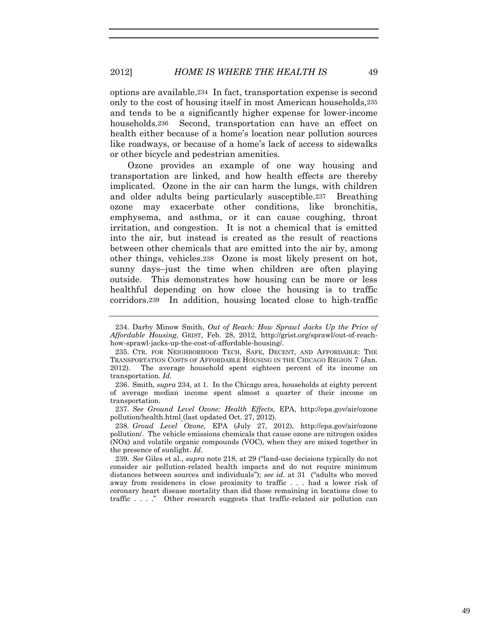options are available.234 In fact, transportation expense is second only to the cost of housing itself in most American households,235 and tends to be a significantly higher expense for lower-income households.<sup>236</sup> Second, transportation can have an effect on health either because of a home's location near pollution sources like roadways, or because of a home's lack of access to sidewalks or other bicycle and pedestrian amenities.

Ozone provides an example of one way housing and transportation are linked, and how health effects are thereby implicated. Ozone in the air can harm the lungs, with children and older adults being particularly susceptible.237 Breathing ozone may exacerbate other conditions, like bronchitis, emphysema, and asthma, or it can cause coughing, throat irritation, and congestion. It is not a chemical that is emitted into the air, but instead is created as the result of reactions between other chemicals that are emitted into the air by, among other things, vehicles.238 Ozone is most likely present on hot, sunny days–just the time when children are often playing outside. This demonstrates how housing can be more or less healthful depending on how close the housing is to traffic corridors.239 In addition, housing located close to high-traffic

237*. See Ground Level Ozone: Health Effects,* EPA, http://epa.gov/air/ozone pollution/health.html (last updated Oct. 27, 2012).

238*. Groud Level Ozone,* EPA (July 27, 2012), http://epa.gov/air/ozone pollution/. The vehicle emissions chemicals that cause ozone are nitrogen oxides (NOx) and volatile organic compounds (VOC), when they are mixed together in the presence of sunlight. *Id*.

239*. See* Giles et al., *supra* note 218, at 29 ("land-use decisions typically do not consider air pollution-related health impacts and do not require minimum distances between sources and individuals"); *see id.* at 31 ("adults who moved away from residences in close proximity to traffic . . . had a lower risk of coronary heart disease mortality than did those remaining in locations close to traffic . . . ." Other research suggests that traffic-related air pollution can

<sup>234.</sup> Darby Minow Smith, *Out of Reach: How Sprawl Jacks Up the Price of Affordable Housing*, GRIST, Feb. 28, 2012, http://grist.org/sprawl/out-of-reachhow-sprawl-jacks-up-the-cost-of-affordable-housing/.

<sup>235.</sup> CTR. FOR NEIGHBORHOOD TECH, SAFE, DECENT, AND AFFORDABLE: THE TRANSPORTATION COSTS OF AFFORDABLE HOUSING IN THE CHICAGO REGION 7 (Jan. 2012). The average household spent eighteen percent of its income on transportation. *Id.*

<sup>236.</sup> Smith, *supra* 234, at 1. In the Chicago area, households at eighty percent of average median income spent almost a quarter of their income on transportation.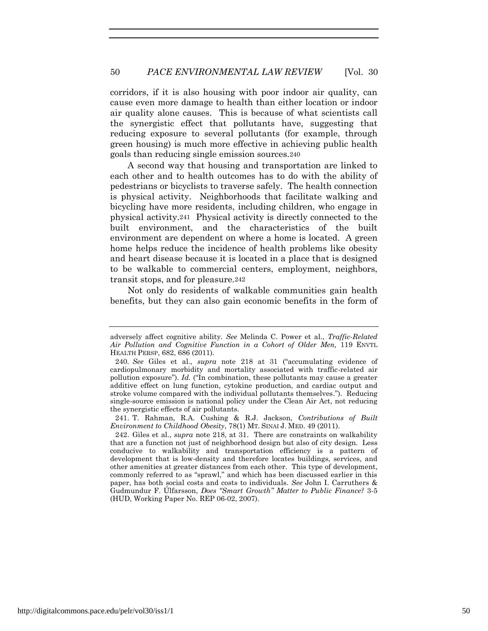corridors, if it is also housing with poor indoor air quality, can cause even more damage to health than either location or indoor air quality alone causes. This is because of what scientists call the synergistic effect that pollutants have, suggesting that reducing exposure to several pollutants (for example, through green housing) is much more effective in achieving public health goals than reducing single emission sources.240

A second way that housing and transportation are linked to each other and to health outcomes has to do with the ability of pedestrians or bicyclists to traverse safely. The health connection is physical activity. Neighborhoods that facilitate walking and bicycling have more residents, including children, who engage in physical activity.241 Physical activity is directly connected to the built environment, and the characteristics of the built environment are dependent on where a home is located. A green home helps reduce the incidence of health problems like obesity and heart disease because it is located in a place that is designed to be walkable to commercial centers, employment, neighbors, transit stops, and for pleasure.242

Not only do residents of walkable communities gain health benefits, but they can also gain economic benefits in the form of

adversely affect cognitive ability. *See* Melinda C. Power et al., *Traffic-Related Air Pollution and Cognitive Function in a Cohort of Older Men,* 119 ENVTL HEALTH PERSP, 682, 686 (2011).

<sup>240</sup>*. See* Giles et al., *supra* note 218 at 31 ("accumulating evidence of cardiopulmonary morbidity and mortality associated with traffic-related air pollution exposure"). *Id.* ("In combination, these pollutants may cause a greater additive effect on lung function, cytokine production, and cardiac output and stroke volume compared with the individual pollutants themselves."). Reducing single-source emission is national policy under the Clean Air Act, not reducing the synergistic effects of air pollutants.

<sup>241.</sup> T. Rahman, R.A. Cushing & R.J. Jackson, *Contributions of Built Environment to Childhood Obesity*, 78(1) MT. SINAI J. MED. 49 (2011).

<sup>242.</sup> Giles et al., *supra* note 218, at 31. There are constraints on walkability that are a function not just of neighborhood design but also of city design. Less conducive to walkability and transportation efficiency is a pattern of development that is low-density and therefore locates buildings, services, and other amenities at greater distances from each other. This type of development, commonly referred to as "sprawl," and which has been discussed earlier in this paper, has both social costs and costs to individuals. *See* John I. Carruthers & Gudmundur F. Úlfarsson, *Does "Smart Growth" Matter to Public Finance?* 3-5 (HUD, Working Paper No. REP 06-02, 2007).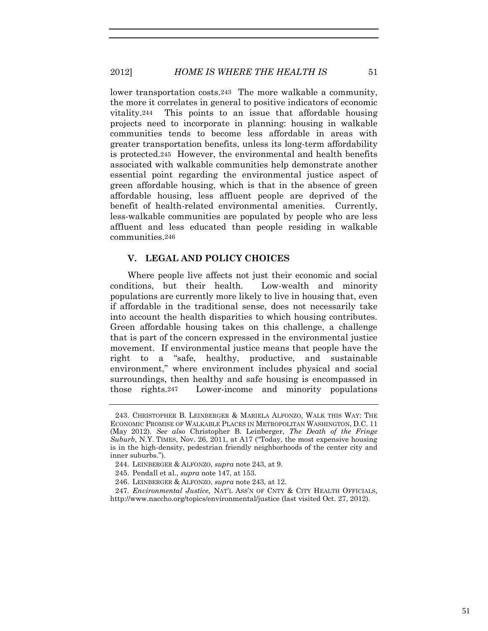# 2012] *HOME IS WHERE THE HEALTH IS* 51

lower transportation costs.243 The more walkable a community, the more it correlates in general to positive indicators of economic vitality.244 This points to an issue that affordable housing projects need to incorporate in planning: housing in walkable communities tends to become less affordable in areas with greater transportation benefits, unless its long-term affordability is protected.245 However, the environmental and health benefits associated with walkable communities help demonstrate another essential point regarding the environmental justice aspect of green affordable housing, which is that in the absence of green affordable housing, less affluent people are deprived of the benefit of health-related environmental amenities. Currently, less-walkable communities are populated by people who are less affluent and less educated than people residing in walkable communities.246

# **V. LEGAL AND POLICY CHOICES**

Where people live affects not just their economic and social conditions, but their health. Low-wealth and minority populations are currently more likely to live in housing that, even if affordable in the traditional sense, does not necessarily take into account the health disparities to which housing contributes. Green affordable housing takes on this challenge, a challenge that is part of the concern expressed in the environmental justice movement. If environmental justice means that people have the right to a "safe, healthy, productive, and sustainable environment," where environment includes physical and social surroundings, then healthy and safe housing is encompassed in those rights.247 Lower-income and minority populations

<sup>243.</sup> CHRISTOPHER B. LEINBERGER & MARIELA ALFONZO, WALK THIS WAY: THE ECONOMIC PROMISE OF WALKABLE PLACES IN METROPOLITAN WASHINGTON, D.C. 11 (May 2012). *See also* Christopher B. Leinberger, *The Death of the Fringe Suburb*, N.Y. TIMES, Nov. 26, 2011, at A17 ("Today, the most expensive housing is in the high-density, pedestrian friendly neighborhoods of the center city and inner suburbs.").

<sup>244.</sup> LEINBERGER & ALFONZO, *supra* note 243, at 9.

<sup>245.</sup> Pendall et al., *supra* note 147, at 153.

<sup>246.</sup> LEINBERGER & ALFONZO, *supra* note 243, at 12.

<sup>247</sup>*. Environmental Justice,* NAT'L ASS'N OF CNTY & CITY HEALTH OFFICIALS, http://www.naccho.org/topics/environmental/justice (last visited Oct. 27, 2012).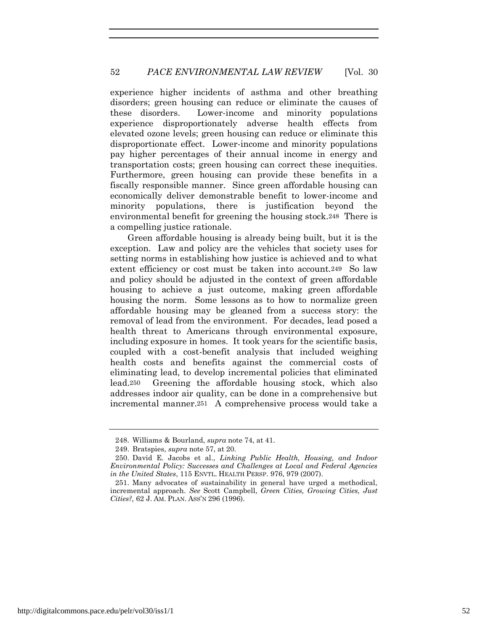experience higher incidents of asthma and other breathing disorders; green housing can reduce or eliminate the causes of these disorders. Lower-income and minority populations experience disproportionately adverse health effects from elevated ozone levels; green housing can reduce or eliminate this disproportionate effect. Lower-income and minority populations pay higher percentages of their annual income in energy and transportation costs; green housing can correct these inequities. Furthermore, green housing can provide these benefits in a fiscally responsible manner. Since green affordable housing can economically deliver demonstrable benefit to lower-income and minority populations, there is justification beyond the environmental benefit for greening the housing stock.248 There is a compelling justice rationale.

Green affordable housing is already being built, but it is the exception. Law and policy are the vehicles that society uses for setting norms in establishing how justice is achieved and to what extent efficiency or cost must be taken into account.<sup>249</sup> So law and policy should be adjusted in the context of green affordable housing to achieve a just outcome, making green affordable housing the norm. Some lessons as to how to normalize green affordable housing may be gleaned from a success story: the removal of lead from the environment. For decades, lead posed a health threat to Americans through environmental exposure, including exposure in homes. It took years for the scientific basis, coupled with a cost-benefit analysis that included weighing health costs and benefits against the commercial costs of eliminating lead, to develop incremental policies that eliminated lead.250 Greening the affordable housing stock, which also addresses indoor air quality, can be done in a comprehensive but incremental manner.251 A comprehensive process would take a

<sup>248.</sup> Williams & Bourland, *supra* note 74, at 41.

<sup>249.</sup> Bratspies, *supra* note 57, at 20.

<sup>250.</sup> David E. Jacobs et al., *Linking Public Health, Housing, and Indoor Environmental Policy: Successes and Challenges at Local and Federal Agencies in the United States*, 115 ENVTL. HEALTH PERSP. 976, 979 (2007).

<sup>251.</sup> Many advocates of sustainability in general have urged a methodical, incremental approach. *See* Scott Campbell, *Green Cities, Growing Cities, Just Cities?,* 62 J. AM. PLAN. ASS'N 296 (1996).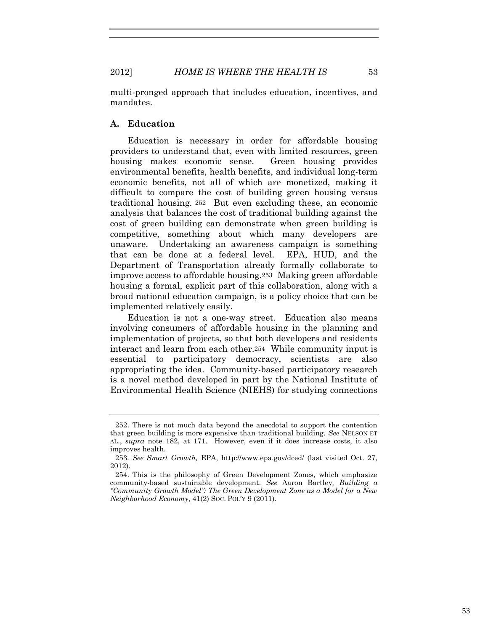multi-pronged approach that includes education, incentives, and mandates.

# **A. Education**

Education is necessary in order for affordable housing providers to understand that, even with limited resources, green housing makes economic sense. Green housing provides environmental benefits, health benefits, and individual long-term economic benefits, not all of which are monetized, making it difficult to compare the cost of building green housing versus traditional housing. 252 But even excluding these, an economic analysis that balances the cost of traditional building against the cost of green building can demonstrate when green building is competitive, something about which many developers are unaware. Undertaking an awareness campaign is something that can be done at a federal level. EPA, HUD, and the Department of Transportation already formally collaborate to improve access to affordable housing.253 Making green affordable housing a formal, explicit part of this collaboration, along with a broad national education campaign, is a policy choice that can be implemented relatively easily.

Education is not a one-way street. Education also means involving consumers of affordable housing in the planning and implementation of projects, so that both developers and residents interact and learn from each other.254 While community input is essential to participatory democracy, scientists are also appropriating the idea. Community-based participatory research is a novel method developed in part by the National Institute of Environmental Health Science (NIEHS) for studying connections

<sup>252.</sup> There is not much data beyond the anecdotal to support the contention that green building is more expensive than traditional building. *See* NELSON ET AL., *supra* note 182, at 171. However, even if it does increase costs, it also improves health.

<sup>253</sup>*. See Smart Growth,* EPA, http://www.epa.gov/dced/ (last visited Oct. 27, 2012).

<sup>254.</sup> This is the philosophy of Green Development Zones, which emphasize community-based sustainable development. *See* Aaron Bartley*, Building a "Community Growth Model": The Green Development Zone as a Model for a New Neighborhood Economy*, 41(2) SOC. POL'Y 9 (2011).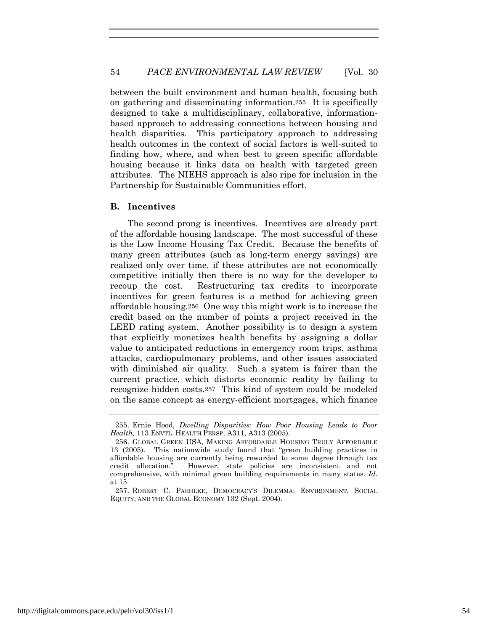between the built environment and human health, focusing both on gathering and disseminating information.255 It is specifically designed to take a multidisciplinary, collaborative, informationbased approach to addressing connections between housing and health disparities. This participatory approach to addressing health outcomes in the context of social factors is well-suited to finding how, where, and when best to green specific affordable housing because it links data on health with targeted green attributes. The NIEHS approach is also ripe for inclusion in the Partnership for Sustainable Communities effort.

#### **B. Incentives**

The second prong is incentives. Incentives are already part of the affordable housing landscape. The most successful of these is the Low Income Housing Tax Credit. Because the benefits of many green attributes (such as long-term energy savings) are realized only over time, if these attributes are not economically competitive initially then there is no way for the developer to recoup the cost. Restructuring tax credits to incorporate incentives for green features is a method for achieving green affordable housing.256 One way this might work is to increase the credit based on the number of points a project received in the LEED rating system. Another possibility is to design a system that explicitly monetizes health benefits by assigning a dollar value to anticipated reductions in emergency room trips, asthma attacks, cardiopulmonary problems, and other issues associated with diminished air quality. Such a system is fairer than the current practice, which distorts economic reality by failing to recognize hidden costs.257 This kind of system could be modeled on the same concept as energy-efficient mortgages, which finance

<sup>255.</sup> Ernie Hood, *Dwelling Disparities: How Poor Housing Leads to Poor Health,* 113 ENVTL. HEALTH PERSP. A311, A313 (2005).

<sup>256.</sup> GLOBAL GREEN USA, MAKING AFFORDABLE HOUSING TRULY AFFORDABLE 13 (2005). This nationwide study found that "green building practices in affordable housing are currently being rewarded to some degree through tax credit allocation." However, state policies are inconsistent and not comprehensive, with minimal green building requirements in many states. *Id.* at 15

<sup>257.</sup> ROBERT C. PAEHLKE, DEMOCRACY'S DILEMMA: ENVIRONMENT, SOCIAL EQUITY, AND THE GLOBAL ECONOMY 132 (Sept. 2004).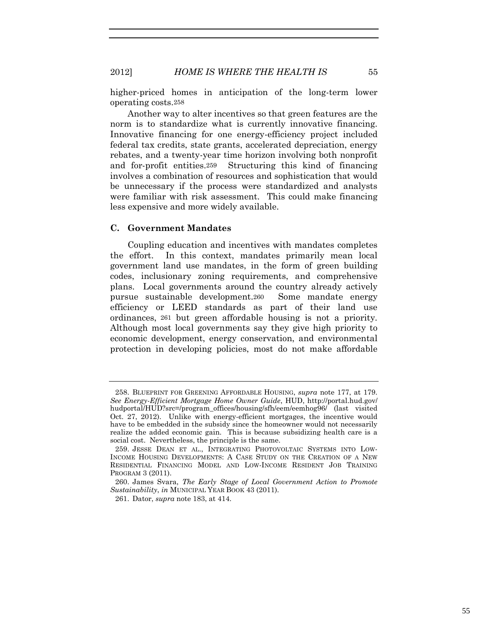higher-priced homes in anticipation of the long-term lower operating costs.258

Another way to alter incentives so that green features are the norm is to standardize what is currently innovative financing. Innovative financing for one energy-efficiency project included federal tax credits, state grants, accelerated depreciation, energy rebates, and a twenty-year time horizon involving both nonprofit and for-profit entities.259 Structuring this kind of financing involves a combination of resources and sophistication that would be unnecessary if the process were standardized and analysts were familiar with risk assessment. This could make financing less expensive and more widely available.

# **C. Government Mandates**

Coupling education and incentives with mandates completes the effort. In this context, mandates primarily mean local government land use mandates, in the form of green building codes, inclusionary zoning requirements, and comprehensive plans. Local governments around the country already actively pursue sustainable development.260 Some mandate energy efficiency or LEED standards as part of their land use ordinances, 261 but green affordable housing is not a priority. Although most local governments say they give high priority to economic development, energy conservation, and environmental protection in developing policies, most do not make affordable

<sup>258.</sup> BLUEPRINT FOR GREENING AFFORDABLE HOUSING, *supra* note 177, at 179. *See Energy-Efficient Mortgage Home Owner Guide*, HUD, http://portal.hud.gov/ hudportal/HUD?src=/program\_offices/housing/sfh/eem/eemhog96/ (last visited Oct. 27, 2012). Unlike with energy-efficient mortgages, the incentive would have to be embedded in the subsidy since the homeowner would not necessarily realize the added economic gain. This is because subsidizing health care is a social cost. Nevertheless, the principle is the same.

<sup>259.</sup> JESSE DEAN ET AL., INTEGRATING PHOTOVOLTAIC SYSTEMS INTO LOW-INCOME HOUSING DEVELOPMENTS: A CASE STUDY ON THE CREATION OF A NEW RESIDENTIAL FINANCING MODEL AND LOW-INCOME RESIDENT JOB TRAINING PROGRAM 3 (2011).

<sup>260.</sup> James Svara, *The Early Stage of Local Government Action to Promote Sustainability*, *in* MUNICIPAL YEAR BOOK 43 (2011).

<sup>261.</sup> Dator, *supra* note 183, at 414.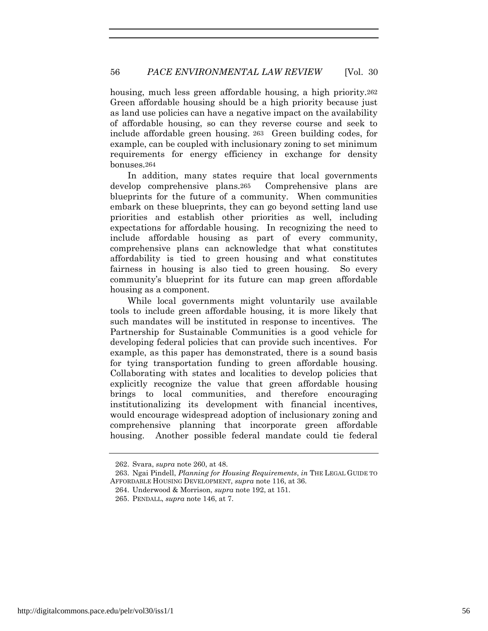housing, much less green affordable housing, a high priority.262 Green affordable housing should be a high priority because just as land use policies can have a negative impact on the availability of affordable housing, so can they reverse course and seek to include affordable green housing. 263 Green building codes, for example, can be coupled with inclusionary zoning to set minimum requirements for energy efficiency in exchange for density bonuses.264

In addition, many states require that local governments develop comprehensive plans.265 Comprehensive plans are blueprints for the future of a community. When communities embark on these blueprints, they can go beyond setting land use priorities and establish other priorities as well, including expectations for affordable housing. In recognizing the need to include affordable housing as part of every community, comprehensive plans can acknowledge that what constitutes affordability is tied to green housing and what constitutes fairness in housing is also tied to green housing. So every community's blueprint for its future can map green affordable housing as a component.

While local governments might voluntarily use available tools to include green affordable housing, it is more likely that such mandates will be instituted in response to incentives. The Partnership for Sustainable Communities is a good vehicle for developing federal policies that can provide such incentives. For example, as this paper has demonstrated, there is a sound basis for tying transportation funding to green affordable housing. Collaborating with states and localities to develop policies that explicitly recognize the value that green affordable housing brings to local communities, and therefore encouraging institutionalizing its development with financial incentives, would encourage widespread adoption of inclusionary zoning and comprehensive planning that incorporate green affordable housing. Another possible federal mandate could tie federal

264. Underwood & Morrison, *supra* note 192, at 151.

<sup>262.</sup> Svara, *supra* note 260, at 48.

<sup>263.</sup> Ngai Pindell, *Planning for Housing Requirements*, *in* THE LEGAL GUIDE TO AFFORDABLE HOUSING DEVELOPMENT, *supra* note 116, at 36.

<sup>265.</sup> PENDALL, *supra* note 146, at 7.